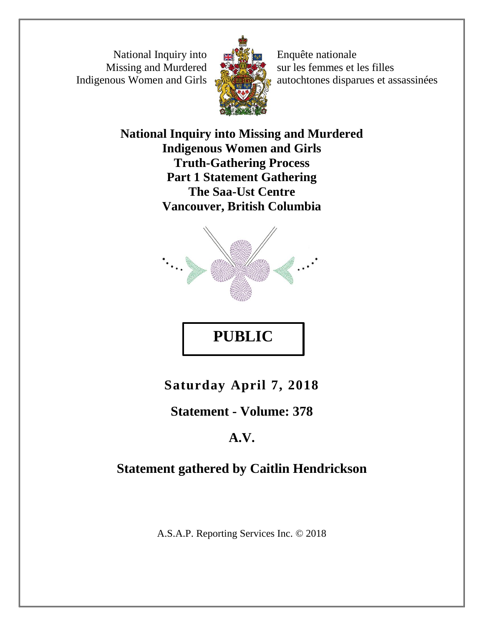National Inquiry into Missing and Murdered Indigenous Women and Girls



Enquête nationale sur les femmes et les filles autochtones disparues et assassinées

**National Inquiry into Missing and Murdered Indigenous Women and Girls Truth-Gathering Process Part 1 Statement Gathering The Saa-Ust Centre Vancouver, British Columbia**



**Saturday April 7, 2018**

**PUBLIC** 

**Statement - Volume: 378**

# **A.V.**

# **Statement gathered by Caitlin Hendrickson**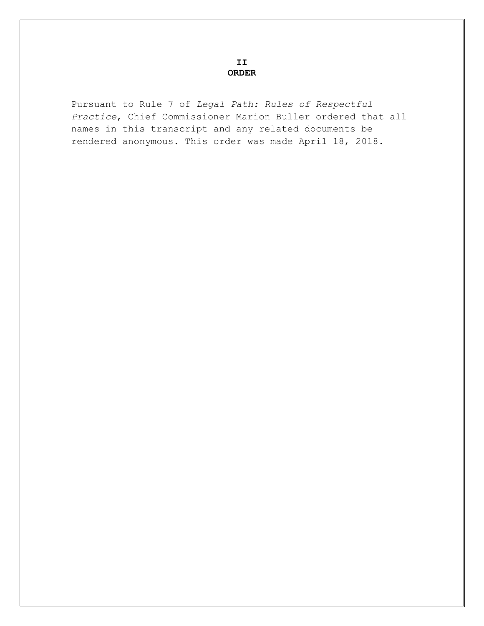**II ORDER**

Pursuant to Rule 7 of *Legal Path: Rules of Respectful Practice*, Chief Commissioner Marion Buller ordered that all names in this transcript and any related documents be rendered anonymous. This order was made April 18, 2018.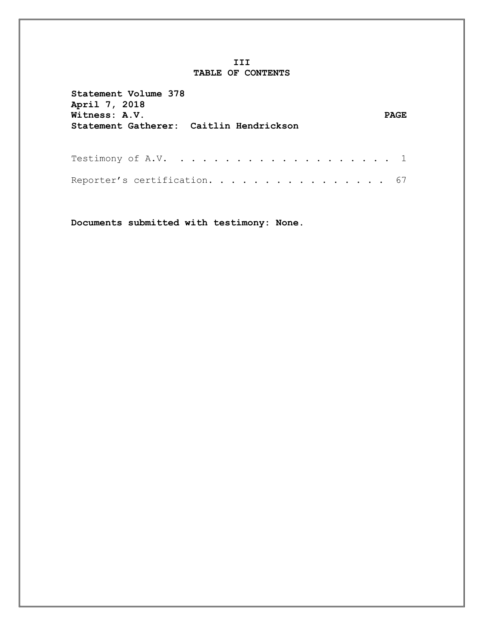#### **III TABLE OF CONTENTS**

| Statement Volume 378<br>April 7, 2018<br>Witness: A.V.<br>Statement Gatherer: Caitlin Hendrickson | <b>PAGE</b> |  |
|---------------------------------------------------------------------------------------------------|-------------|--|
|                                                                                                   |             |  |
| Reporter's certification. 67                                                                      |             |  |

**Documents submitted with testimony: None.**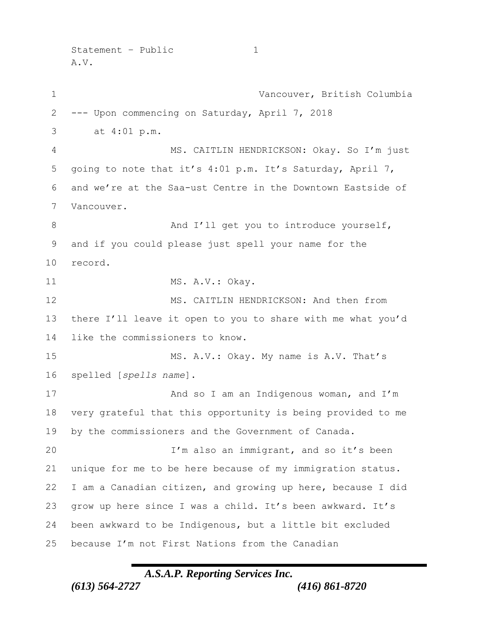$Statement - Public$  1 A.V.

 Vancouver, British Columbia --- Upon commencing on Saturday, April 7, 2018 3 at 4:01 p.m. MS. CAITLIN HENDRICKSON: Okay. So I'm just going to note that it's 4:01 p.m. It's Saturday, April 7, and we're at the Saa-ust Centre in the Downtown Eastside of Vancouver. 8 And I'll get you to introduce yourself, and if you could please just spell your name for the record. 11 MS. A.V.: Okay. MS. CAITLIN HENDRICKSON: And then from there I'll leave it open to you to share with me what you'd like the commissioners to know. 15 MS. A.V.: Okay. My name is A.V. That's spelled [*spells name*]. 17 And so I am an Indigenous woman, and I'm very grateful that this opportunity is being provided to me by the commissioners and the Government of Canada. I'm also an immigrant, and so it's been unique for me to be here because of my immigration status. I am a Canadian citizen, and growing up here, because I did grow up here since I was a child. It's been awkward. It's been awkward to be Indigenous, but a little bit excluded because I'm not First Nations from the Canadian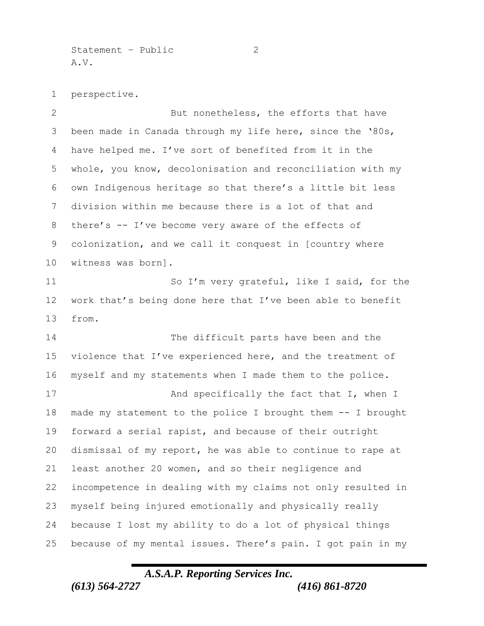Statement – Public 2 A.V.

perspective.

2 But nonetheless, the efforts that have been made in Canada through my life here, since the '80s, have helped me. I've sort of benefited from it in the whole, you know, decolonisation and reconciliation with my own Indigenous heritage so that there's a little bit less division within me because there is a lot of that and there's -- I've become very aware of the effects of colonization, and we call it conquest in [country where witness was born]. 11 So I'm very grateful, like I said, for the work that's being done here that I've been able to benefit from. The difficult parts have been and the 15 violence that I've experienced here, and the treatment of myself and my statements when I made them to the police. 17 And specifically the fact that I, when I made my statement to the police I brought them -- I brought forward a serial rapist, and because of their outright dismissal of my report, he was able to continue to rape at least another 20 women, and so their negligence and incompetence in dealing with my claims not only resulted in myself being injured emotionally and physically really because I lost my ability to do a lot of physical things because of my mental issues. There's pain. I got pain in my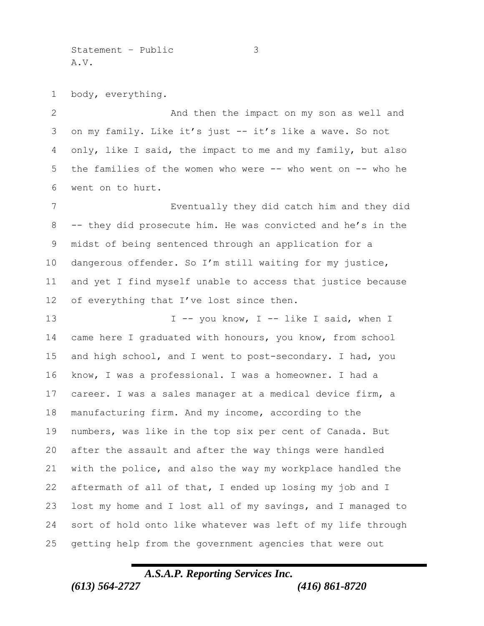Statement – Public 3 A.V.

body, everything.

2 And then the impact on my son as well and on my family. Like it's just -- it's like a wave. So not only, like I said, the impact to me and my family, but also the families of the women who were -- who went on -- who he went on to hurt.

 Eventually they did catch him and they did -- they did prosecute him. He was convicted and he's in the midst of being sentenced through an application for a dangerous offender. So I'm still waiting for my justice, and yet I find myself unable to access that justice because 12 of everything that I've lost since then.

13 I -- you know, I -- like I said, when I came here I graduated with honours, you know, from school and high school, and I went to post-secondary. I had, you know, I was a professional. I was a homeowner. I had a career. I was a sales manager at a medical device firm, a manufacturing firm. And my income, according to the numbers, was like in the top six per cent of Canada. But after the assault and after the way things were handled with the police, and also the way my workplace handled the aftermath of all of that, I ended up losing my job and I lost my home and I lost all of my savings, and I managed to sort of hold onto like whatever was left of my life through getting help from the government agencies that were out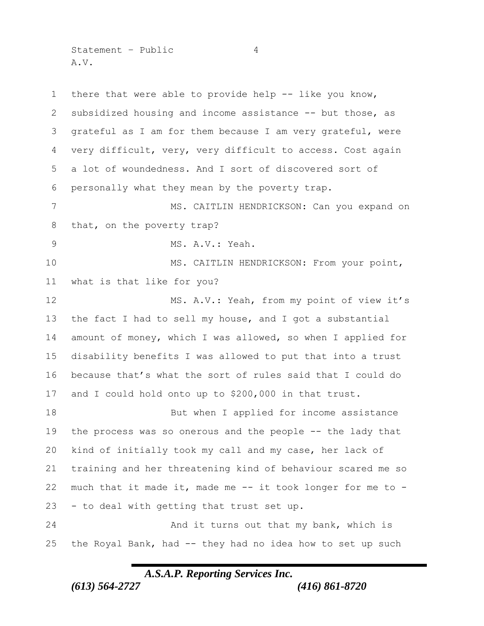Statement – Public 4 A.V.

 there that were able to provide help -- like you know, subsidized housing and income assistance -- but those, as grateful as I am for them because I am very grateful, were very difficult, very, very difficult to access. Cost again a lot of woundedness. And I sort of discovered sort of personally what they mean by the poverty trap. 7 MS. CAITLIN HENDRICKSON: Can you expand on that, on the poverty trap? MS. A.V.: Yeah. 10 MS. CAITLIN HENDRICKSON: From your point, what is that like for you? 12 MS. A.V.: Yeah, from my point of view it's the fact I had to sell my house, and I got a substantial amount of money, which I was allowed, so when I applied for disability benefits I was allowed to put that into a trust because that's what the sort of rules said that I could do and I could hold onto up to \$200,000 in that trust. 18 But when I applied for income assistance the process was so onerous and the people -- the lady that kind of initially took my call and my case, her lack of training and her threatening kind of behaviour scared me so much that it made it, made me -- it took longer for me to - - to deal with getting that trust set up. 24 And it turns out that my bank, which is the Royal Bank, had -- they had no idea how to set up such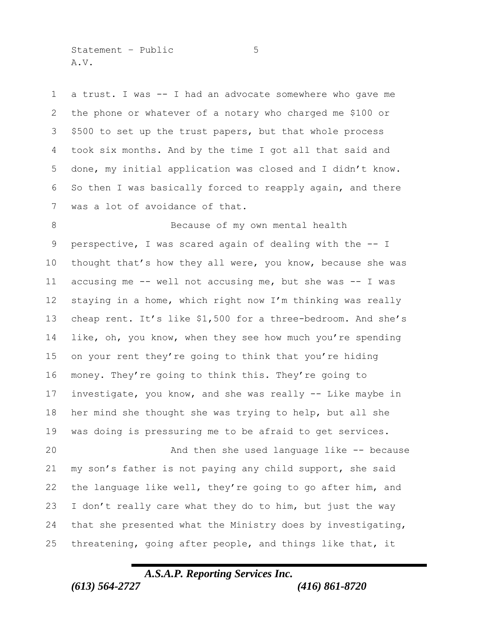$Statement - Public$  5 A.V.

 a trust. I was -- I had an advocate somewhere who gave me the phone or whatever of a notary who charged me \$100 or \$500 to set up the trust papers, but that whole process took six months. And by the time I got all that said and done, my initial application was closed and I didn't know. So then I was basically forced to reapply again, and there was a lot of avoidance of that.

8 Because of my own mental health perspective, I was scared again of dealing with the -- I thought that's how they all were, you know, because she was accusing me -- well not accusing me, but she was -- I was staying in a home, which right now I'm thinking was really cheap rent. It's like \$1,500 for a three-bedroom. And she's like, oh, you know, when they see how much you're spending on your rent they're going to think that you're hiding money. They're going to think this. They're going to investigate, you know, and she was really -- Like maybe in her mind she thought she was trying to help, but all she was doing is pressuring me to be afraid to get services. And then she used language like -- because

 my son's father is not paying any child support, she said the language like well, they're going to go after him, and I don't really care what they do to him, but just the way that she presented what the Ministry does by investigating, threatening, going after people, and things like that, it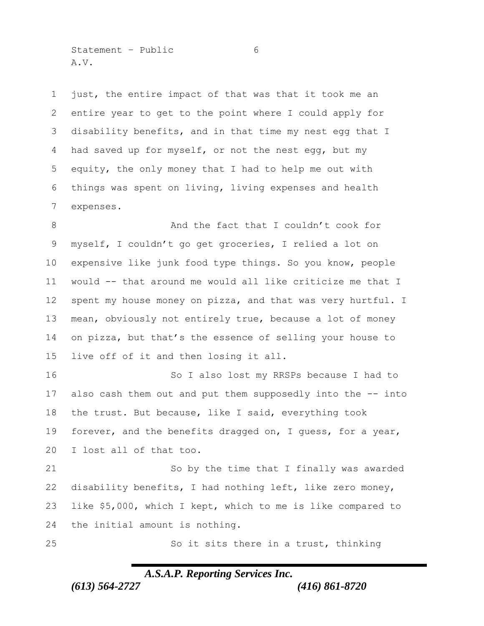$Statement - Public$  6 A.V.

 just, the entire impact of that was that it took me an entire year to get to the point where I could apply for disability benefits, and in that time my nest egg that I 4 had saved up for myself, or not the nest egg, but my equity, the only money that I had to help me out with things was spent on living, living expenses and health expenses.

8 And the fact that I couldn't cook for myself, I couldn't go get groceries, I relied a lot on expensive like junk food type things. So you know, people would -- that around me would all like criticize me that I spent my house money on pizza, and that was very hurtful. I mean, obviously not entirely true, because a lot of money on pizza, but that's the essence of selling your house to live off of it and then losing it all.

 So I also lost my RRSPs because I had to also cash them out and put them supposedly into the -- into the trust. But because, like I said, everything took 19 forever, and the benefits dragged on, I guess, for a year, I lost all of that too.

 So by the time that I finally was awarded disability benefits, I had nothing left, like zero money, like \$5,000, which I kept, which to me is like compared to the initial amount is nothing.

So it sits there in a trust, thinking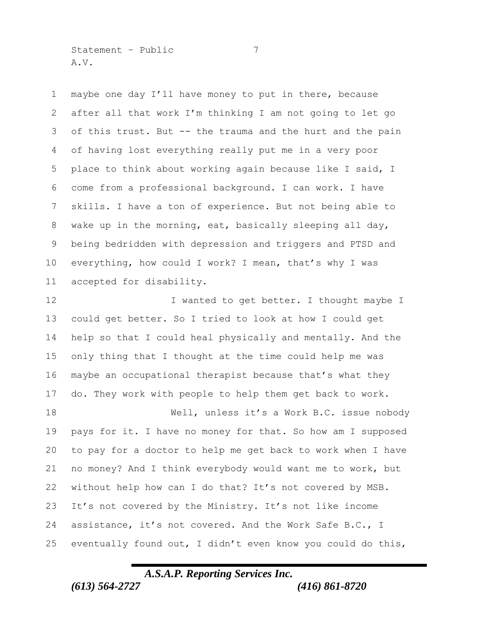Statement – Public 7 A.V.

 maybe one day I'll have money to put in there, because after all that work I'm thinking I am not going to let go of this trust. But -- the trauma and the hurt and the pain of having lost everything really put me in a very poor place to think about working again because like I said, I come from a professional background. I can work. I have skills. I have a ton of experience. But not being able to wake up in the morning, eat, basically sleeping all day, being bedridden with depression and triggers and PTSD and everything, how could I work? I mean, that's why I was accepted for disability.

12 I wanted to get better. I thought maybe I could get better. So I tried to look at how I could get help so that I could heal physically and mentally. And the only thing that I thought at the time could help me was maybe an occupational therapist because that's what they do. They work with people to help them get back to work.

18 Well, unless it's a Work B.C. issue nobody pays for it. I have no money for that. So how am I supposed to pay for a doctor to help me get back to work when I have no money? And I think everybody would want me to work, but without help how can I do that? It's not covered by MSB. It's not covered by the Ministry. It's not like income assistance, it's not covered. And the Work Safe B.C., I eventually found out, I didn't even know you could do this,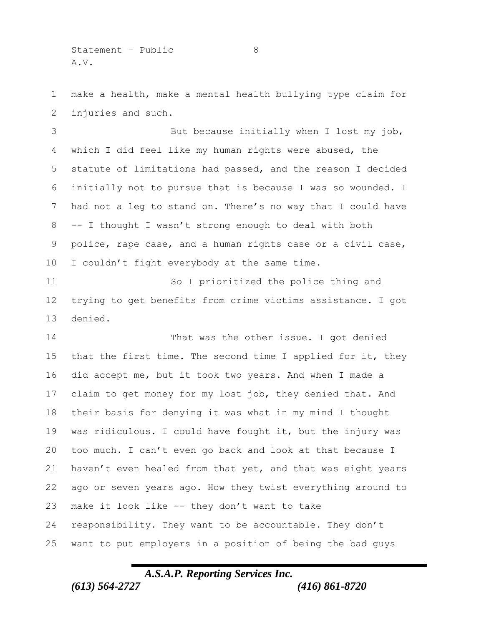$Statement - Public$  8 A.V.

 make a health, make a mental health bullying type claim for injuries and such.

 But because initially when I lost my job, which I did feel like my human rights were abused, the statute of limitations had passed, and the reason I decided initially not to pursue that is because I was so wounded. I had not a leg to stand on. There's no way that I could have -- I thought I wasn't strong enough to deal with both police, rape case, and a human rights case or a civil case, I couldn't fight everybody at the same time.

 So I prioritized the police thing and trying to get benefits from crime victims assistance. I got denied.

 That was the other issue. I got denied 15 that the first time. The second time I applied for it, they did accept me, but it took two years. And when I made a claim to get money for my lost job, they denied that. And their basis for denying it was what in my mind I thought was ridiculous. I could have fought it, but the injury was too much. I can't even go back and look at that because I haven't even healed from that yet, and that was eight years ago or seven years ago. How they twist everything around to make it look like -- they don't want to take responsibility. They want to be accountable. They don't want to put employers in a position of being the bad guys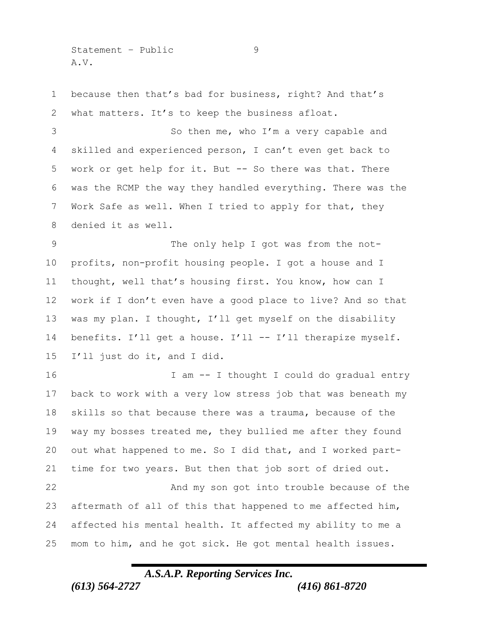Statement – Public 9 A.V.

 because then that's bad for business, right? And that's what matters. It's to keep the business afloat. So then me, who I'm a very capable and skilled and experienced person, I can't even get back to work or get help for it. But -- So there was that. There was the RCMP the way they handled everything. There was the Work Safe as well. When I tried to apply for that, they denied it as well.

9 The only help I got was from the not- profits, non-profit housing people. I got a house and I thought, well that's housing first. You know, how can I work if I don't even have a good place to live? And so that was my plan. I thought, I'll get myself on the disability 14 benefits. I'll get a house. I'll -- I'll therapize myself. I'll just do it, and I did.

 I am -- I thought I could do gradual entry back to work with a very low stress job that was beneath my skills so that because there was a trauma, because of the way my bosses treated me, they bullied me after they found out what happened to me. So I did that, and I worked part- time for two years. But then that job sort of dried out. And my son got into trouble because of the aftermath of all of this that happened to me affected him, affected his mental health. It affected my ability to me a mom to him, and he got sick. He got mental health issues.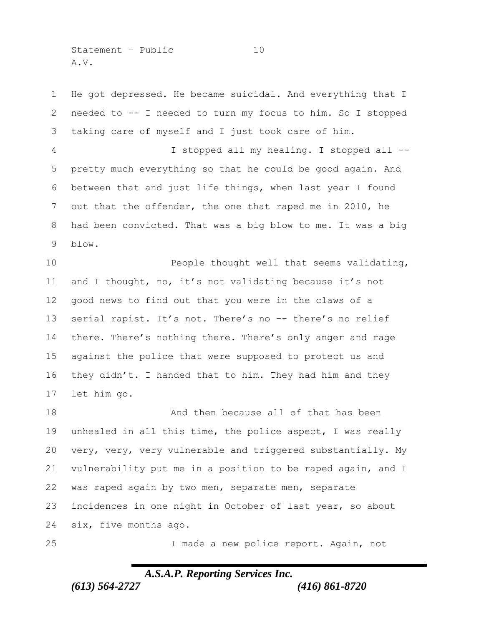Statement – Public 10 A.V.

 He got depressed. He became suicidal. And everything that I needed to -- I needed to turn my focus to him. So I stopped taking care of myself and I just took care of him. I stopped all my healing. I stopped all -- pretty much everything so that he could be good again. And between that and just life things, when last year I found out that the offender, the one that raped me in 2010, he had been convicted. That was a big blow to me. It was a big blow. **People thought well that seems validating,**  and I thought, no, it's not validating because it's not good news to find out that you were in the claws of a serial rapist. It's not. There's no -- there's no relief there. There's nothing there. There's only anger and rage against the police that were supposed to protect us and they didn't. I handed that to him. They had him and they let him go. **And then because all of that has been**  unhealed in all this time, the police aspect, I was really very, very, very vulnerable and triggered substantially. My vulnerability put me in a position to be raped again, and I was raped again by two men, separate men, separate incidences in one night in October of last year, so about six, five months ago.

I made a new police report. Again, not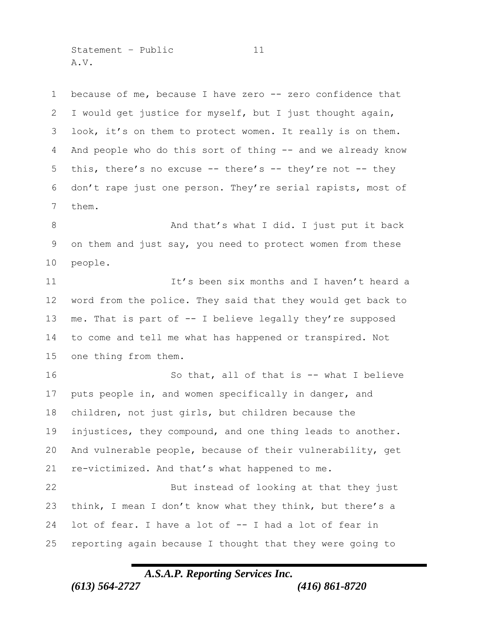Statement – Public 11 A.V.

1 because of me, because I have zero -- zero confidence that I would get justice for myself, but I just thought again, look, it's on them to protect women. It really is on them. And people who do this sort of thing -- and we already know this, there's no excuse -- there's -- they're not -- they don't rape just one person. They're serial rapists, most of them.

8 And that's what I did. I just put it back on them and just say, you need to protect women from these people.

**It's been six months and I haven't heard a**  word from the police. They said that they would get back to me. That is part of -- I believe legally they're supposed to come and tell me what has happened or transpired. Not one thing from them.

 So that, all of that is -- what I believe puts people in, and women specifically in danger, and children, not just girls, but children because the injustices, they compound, and one thing leads to another. And vulnerable people, because of their vulnerability, get re-victimized. And that's what happened to me. But instead of looking at that they just think, I mean I don't know what they think, but there's a lot of fear. I have a lot of -- I had a lot of fear in reporting again because I thought that they were going to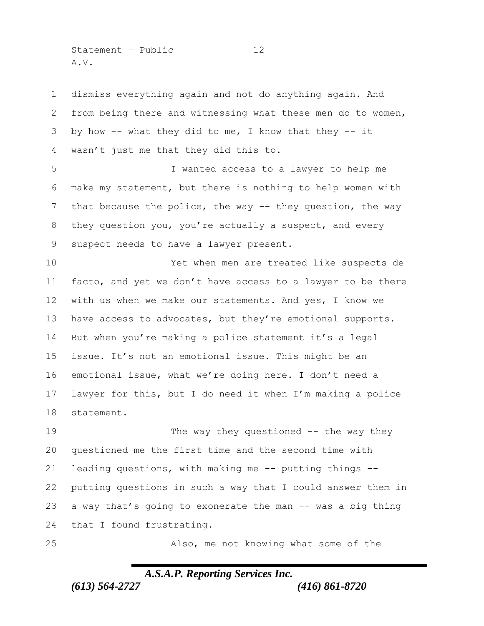Statement – Public 12 A.V.

 dismiss everything again and not do anything again. And from being there and witnessing what these men do to women, by how -- what they did to me, I know that they -- it wasn't just me that they did this to.

 I wanted access to a lawyer to help me make my statement, but there is nothing to help women with that because the police, the way -- they question, the way they question you, you're actually a suspect, and every suspect needs to have a lawyer present.

 Yet when men are treated like suspects de facto, and yet we don't have access to a lawyer to be there with us when we make our statements. And yes, I know we 13 have access to advocates, but they're emotional supports. But when you're making a police statement it's a legal issue. It's not an emotional issue. This might be an emotional issue, what we're doing here. I don't need a lawyer for this, but I do need it when I'm making a police statement.

19 The way they questioned -- the way they questioned me the first time and the second time with leading questions, with making me -- putting things -- putting questions in such a way that I could answer them in a way that's going to exonerate the man -- was a big thing that I found frustrating.

Also, me not knowing what some of the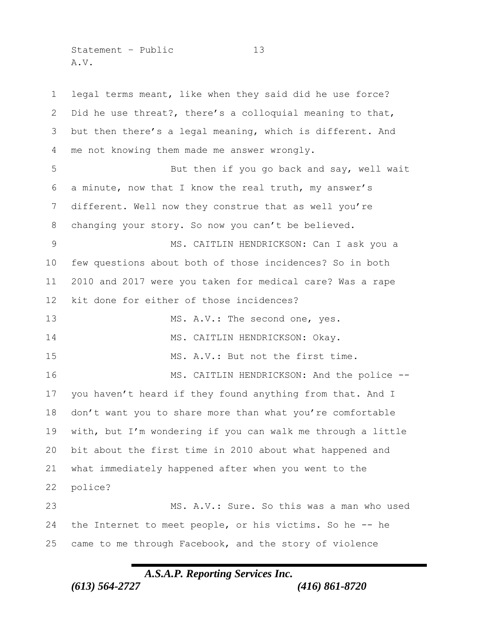Statement – Public 13 A.V.

 legal terms meant, like when they said did he use force? Did he use threat?, there's a colloquial meaning to that, but then there's a legal meaning, which is different. And me not knowing them made me answer wrongly. 5 But then if you go back and say, well wait a minute, now that I know the real truth, my answer's different. Well now they construe that as well you're changing your story. So now you can't be believed. MS. CAITLIN HENDRICKSON: Can I ask you a few questions about both of those incidences? So in both 2010 and 2017 were you taken for medical care? Was a rape kit done for either of those incidences? 13 MS. A.V.: The second one, yes. 14 MS. CAITLIN HENDRICKSON: Okay. 15 MS. A.V.: But not the first time. 16 MS. CAITLIN HENDRICKSON: And the police -- you haven't heard if they found anything from that. And I don't want you to share more than what you're comfortable with, but I'm wondering if you can walk me through a little bit about the first time in 2010 about what happened and what immediately happened after when you went to the police? MS. A.V.: Sure. So this was a man who used the Internet to meet people, or his victims. So he -- he came to me through Facebook, and the story of violence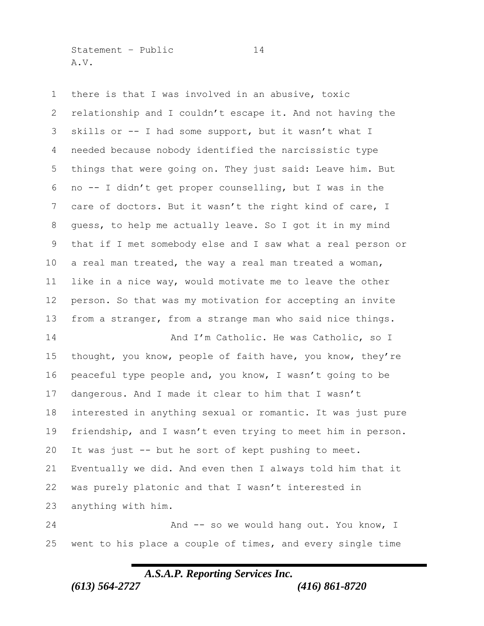Statement – Public 14 A.V.

 there is that I was involved in an abusive, toxic relationship and I couldn't escape it. And not having the skills or -- I had some support, but it wasn't what I needed because nobody identified the narcissistic type things that were going on. They just said: Leave him. But no -- I didn't get proper counselling, but I was in the care of doctors. But it wasn't the right kind of care, I guess, to help me actually leave. So I got it in my mind that if I met somebody else and I saw what a real person or a real man treated, the way a real man treated a woman, like in a nice way, would motivate me to leave the other person. So that was my motivation for accepting an invite from a stranger, from a strange man who said nice things. 14 And I'm Catholic. He was Catholic, so I

 thought, you know, people of faith have, you know, they're peaceful type people and, you know, I wasn't going to be dangerous. And I made it clear to him that I wasn't interested in anything sexual or romantic. It was just pure friendship, and I wasn't even trying to meet him in person. It was just -- but he sort of kept pushing to meet. Eventually we did. And even then I always told him that it was purely platonic and that I wasn't interested in anything with him.

24 And -- so we would hang out. You know, I went to his place a couple of times, and every single time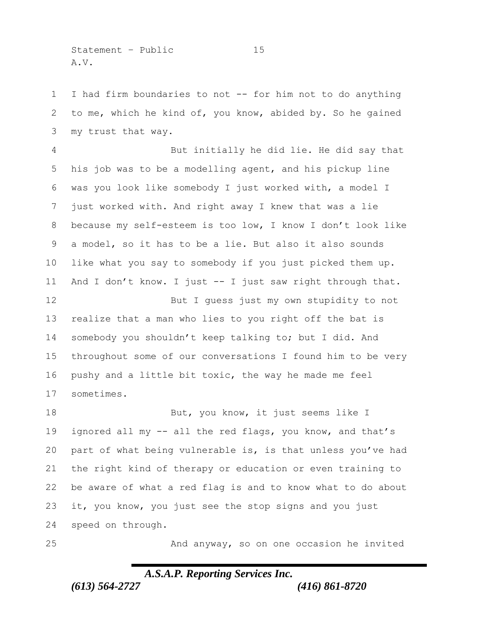Statement – Public 15 A.V.

 I had firm boundaries to not -- for him not to do anything to me, which he kind of, you know, abided by. So he gained my trust that way.

 But initially he did lie. He did say that his job was to be a modelling agent, and his pickup line was you look like somebody I just worked with, a model I just worked with. And right away I knew that was a lie because my self-esteem is too low, I know I don't look like a model, so it has to be a lie. But also it also sounds like what you say to somebody if you just picked them up. And I don't know. I just -- I just saw right through that.

12 But I guess just my own stupidity to not realize that a man who lies to you right off the bat is somebody you shouldn't keep talking to; but I did. And throughout some of our conversations I found him to be very pushy and a little bit toxic, the way he made me feel sometimes.

18 But, you know, it just seems like I 19 ignored all my -- all the red flags, you know, and that's part of what being vulnerable is, is that unless you've had the right kind of therapy or education or even training to be aware of what a red flag is and to know what to do about it, you know, you just see the stop signs and you just speed on through.

And anyway, so on one occasion he invited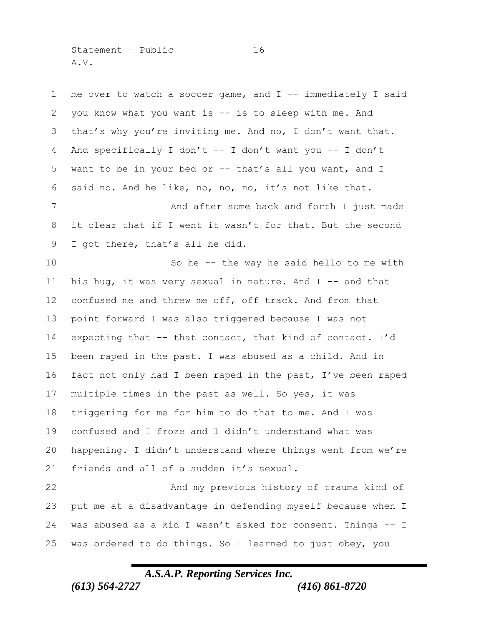Statement – Public 16 A.V.

 me over to watch a soccer game, and I -- immediately I said you know what you want is -- is to sleep with me. And that's why you're inviting me. And no, I don't want that. And specifically I don't -- I don't want you -- I don't want to be in your bed or -- that's all you want, and I said no. And he like, no, no, no, it's not like that. 7 And after some back and forth I just made it clear that if I went it wasn't for that. But the second I got there, that's all he did. So he -- the way he said hello to me with his hug, it was very sexual in nature. And I -- and that confused me and threw me off, off track. And from that point forward I was also triggered because I was not expecting that -- that contact, that kind of contact. I'd been raped in the past. I was abused as a child. And in fact not only had I been raped in the past, I've been raped multiple times in the past as well. So yes, it was triggering for me for him to do that to me. And I was confused and I froze and I didn't understand what was happening. I didn't understand where things went from we're 21 friends and all of a sudden it's sexual. And my previous history of trauma kind of put me at a disadvantage in defending myself because when I was abused as a kid I wasn't asked for consent. Things -- I was ordered to do things. So I learned to just obey, you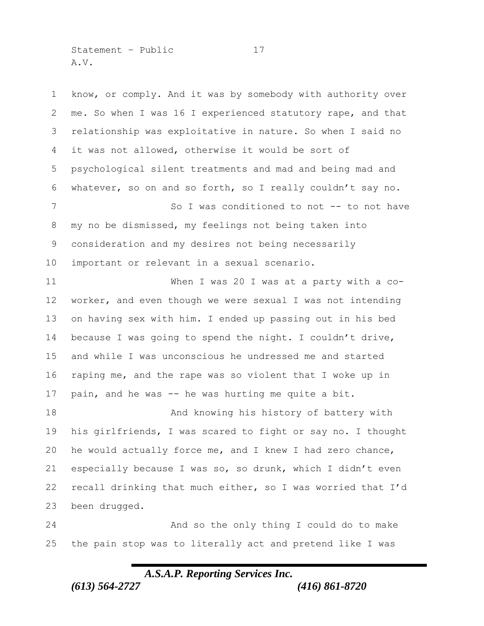Statement – Public 17 A.V.

 know, or comply. And it was by somebody with authority over me. So when I was 16 I experienced statutory rape, and that relationship was exploitative in nature. So when I said no it was not allowed, otherwise it would be sort of psychological silent treatments and mad and being mad and whatever, so on and so forth, so I really couldn't say no. 7 So I was conditioned to not -- to not have my no be dismissed, my feelings not being taken into consideration and my desires not being necessarily important or relevant in a sexual scenario. When I was 20 I was at a party with a co- worker, and even though we were sexual I was not intending on having sex with him. I ended up passing out in his bed because I was going to spend the night. I couldn't drive, and while I was unconscious he undressed me and started raping me, and the rape was so violent that I woke up in pain, and he was -- he was hurting me quite a bit. 18 And knowing his history of battery with his girlfriends, I was scared to fight or say no. I thought he would actually force me, and I knew I had zero chance, especially because I was so, so drunk, which I didn't even recall drinking that much either, so I was worried that I'd been drugged. And so the only thing I could do to make the pain stop was to literally act and pretend like I was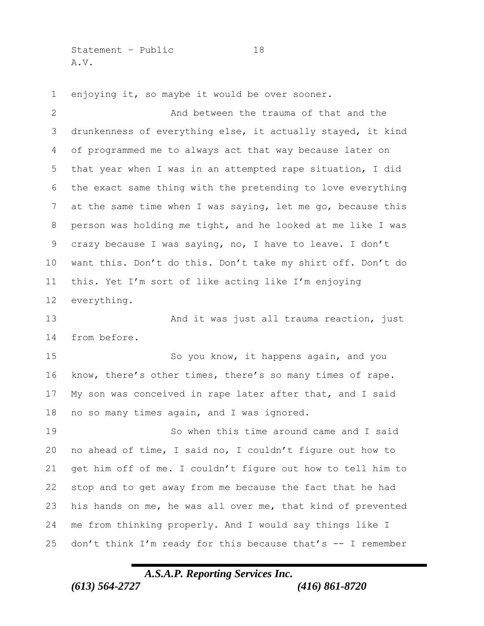Statement – Public 18 A.V.

enjoying it, so maybe it would be over sooner.

2 And between the trauma of that and the drunkenness of everything else, it actually stayed, it kind of programmed me to always act that way because later on that year when I was in an attempted rape situation, I did the exact same thing with the pretending to love everything at the same time when I was saying, let me go, because this person was holding me tight, and he looked at me like I was crazy because I was saying, no, I have to leave. I don't want this. Don't do this. Don't take my shirt off. Don't do this. Yet I'm sort of like acting like I'm enjoying everything. And it was just all trauma reaction, just from before. So you know, it happens again, and you know, there's other times, there's so many times of rape. My son was conceived in rape later after that, and I said no so many times again, and I was ignored. So when this time around came and I said no ahead of time, I said no, I couldn't figure out how to get him off of me. I couldn't figure out how to tell him to stop and to get away from me because the fact that he had his hands on me, he was all over me, that kind of prevented me from thinking properly. And I would say things like I don't think I'm ready for this because that's -- I remember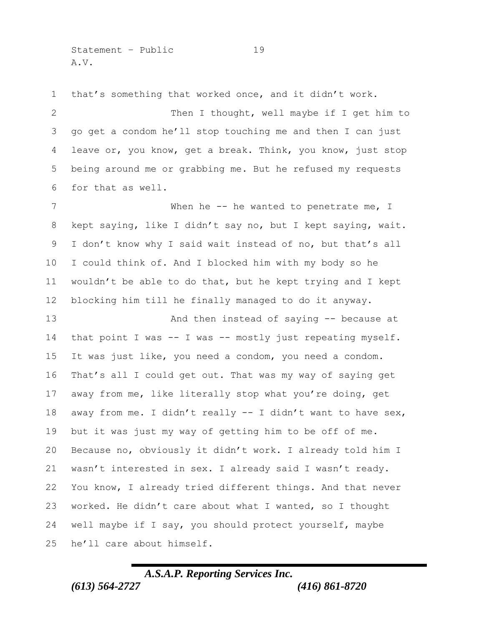Statement – Public 19 A.V.

that's something that worked once, and it didn't work.

2 Then I thought, well maybe if I get him to go get a condom he'll stop touching me and then I can just leave or, you know, get a break. Think, you know, just stop being around me or grabbing me. But he refused my requests for that as well.

7 When he -- he wanted to penetrate me, I kept saying, like I didn't say no, but I kept saying, wait. I don't know why I said wait instead of no, but that's all I could think of. And I blocked him with my body so he wouldn't be able to do that, but he kept trying and I kept blocking him till he finally managed to do it anyway.

 And then instead of saying -- because at 14 that point I was -- I was -- mostly just repeating myself. It was just like, you need a condom, you need a condom. That's all I could get out. That was my way of saying get away from me, like literally stop what you're doing, get away from me. I didn't really -- I didn't want to have sex, but it was just my way of getting him to be off of me. Because no, obviously it didn't work. I already told him I wasn't interested in sex. I already said I wasn't ready. You know, I already tried different things. And that never worked. He didn't care about what I wanted, so I thought well maybe if I say, you should protect yourself, maybe he'll care about himself.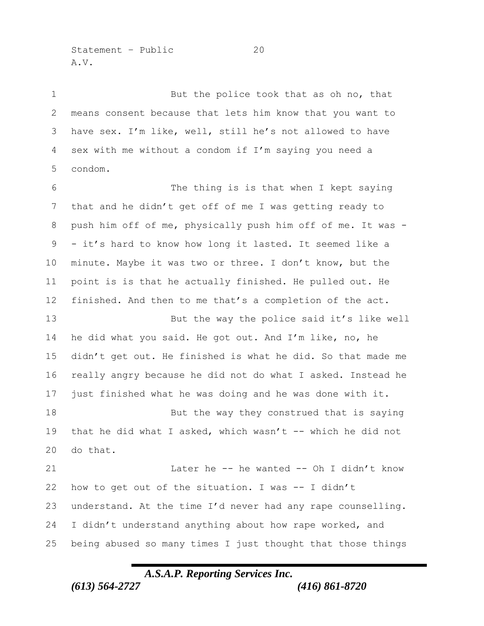Statement – Public 20 A.V.

1 But the police took that as oh no, that means consent because that lets him know that you want to have sex. I'm like, well, still he's not allowed to have sex with me without a condom if I'm saying you need a condom.

 The thing is is that when I kept saying that and he didn't get off of me I was getting ready to push him off of me, physically push him off of me. It was - - it's hard to know how long it lasted. It seemed like a minute. Maybe it was two or three. I don't know, but the point is is that he actually finished. He pulled out. He finished. And then to me that's a completion of the act.

 But the way the police said it's like well he did what you said. He got out. And I'm like, no, he didn't get out. He finished is what he did. So that made me really angry because he did not do what I asked. Instead he just finished what he was doing and he was done with it.

18 But the way they construed that is saying that he did what I asked, which wasn't -- which he did not do that.

21 Later he -- he wanted -- Oh I didn't know how to get out of the situation. I was -- I didn't understand. At the time I'd never had any rape counselling. I didn't understand anything about how rape worked, and being abused so many times I just thought that those things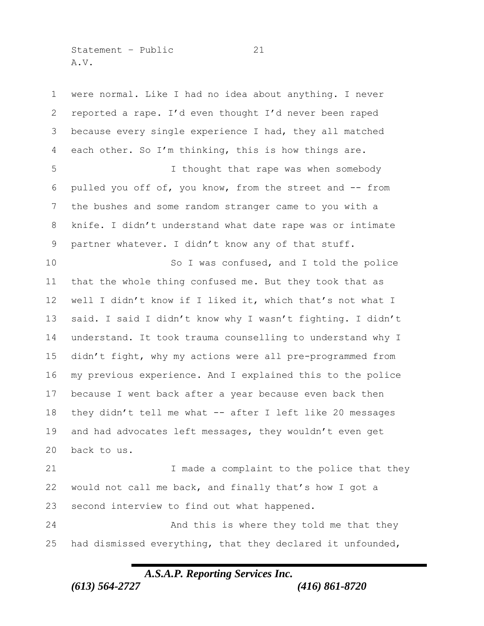Statement – Public 21 A.V.

 were normal. Like I had no idea about anything. I never reported a rape. I'd even thought I'd never been raped because every single experience I had, they all matched each other. So I'm thinking, this is how things are. I thought that rape was when somebody pulled you off of, you know, from the street and -- from the bushes and some random stranger came to you with a knife. I didn't understand what date rape was or intimate partner whatever. I didn't know any of that stuff. So I was confused, and I told the police that the whole thing confused me. But they took that as well I didn't know if I liked it, which that's not what I said. I said I didn't know why I wasn't fighting. I didn't understand. It took trauma counselling to understand why I didn't fight, why my actions were all pre-programmed from my previous experience. And I explained this to the police because I went back after a year because even back then they didn't tell me what -- after I left like 20 messages and had advocates left messages, they wouldn't even get back to us. 21 1 I made a complaint to the police that they would not call me back, and finally that's how I got a second interview to find out what happened. 24 And this is where they told me that they had dismissed everything, that they declared it unfounded,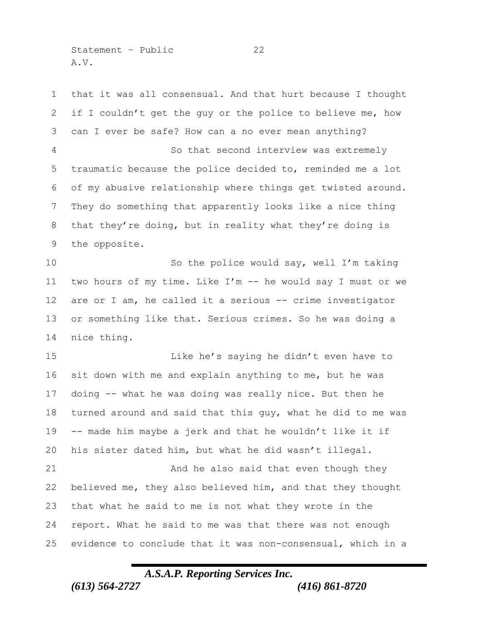Statement – Public 22 A.V.

 that it was all consensual. And that hurt because I thought if I couldn't get the guy or the police to believe me, how can I ever be safe? How can a no ever mean anything? So that second interview was extremely traumatic because the police decided to, reminded me a lot of my abusive relationship where things get twisted around. They do something that apparently looks like a nice thing that they're doing, but in reality what they're doing is the opposite. So the police would say, well I'm taking two hours of my time. Like I'm -- he would say I must or we are or I am, he called it a serious -- crime investigator or something like that. Serious crimes. So he was doing a nice thing. 15 Like he's saying he didn't even have to sit down with me and explain anything to me, but he was

 doing -- what he was doing was really nice. But then he turned around and said that this guy, what he did to me was -- made him maybe a jerk and that he wouldn't like it if his sister dated him, but what he did wasn't illegal. And he also said that even though they believed me, they also believed him, and that they thought that what he said to me is not what they wrote in the report. What he said to me was that there was not enough evidence to conclude that it was non-consensual, which in a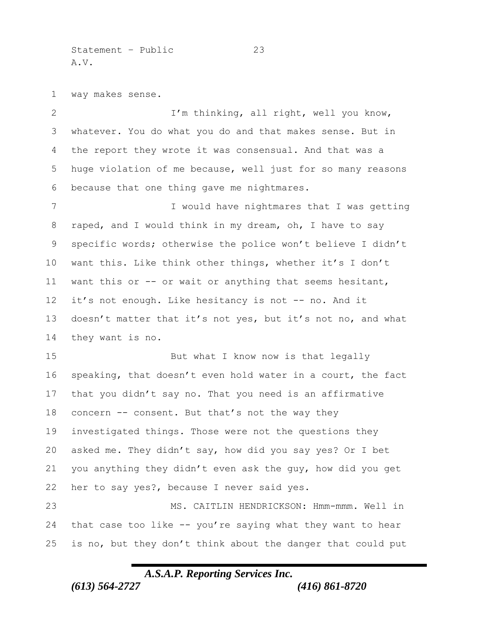Statement – Public 23 A.V.

way makes sense.

2 I'm thinking, all right, well you know, whatever. You do what you do and that makes sense. But in the report they wrote it was consensual. And that was a huge violation of me because, well just for so many reasons because that one thing gave me nightmares.

7 I would have nightmares that I was getting raped, and I would think in my dream, oh, I have to say specific words; otherwise the police won't believe I didn't want this. Like think other things, whether it's I don't want this or -- or wait or anything that seems hesitant, it's not enough. Like hesitancy is not -- no. And it 13 doesn't matter that it's not yes, but it's not no, and what they want is no.

15 But what I know now is that legally speaking, that doesn't even hold water in a court, the fact that you didn't say no. That you need is an affirmative 18 concern -- consent. But that's not the way they investigated things. Those were not the questions they asked me. They didn't say, how did you say yes? Or I bet you anything they didn't even ask the guy, how did you get her to say yes?, because I never said yes.

 MS. CAITLIN HENDRICKSON: Hmm-mmm. Well in that case too like -- you're saying what they want to hear is no, but they don't think about the danger that could put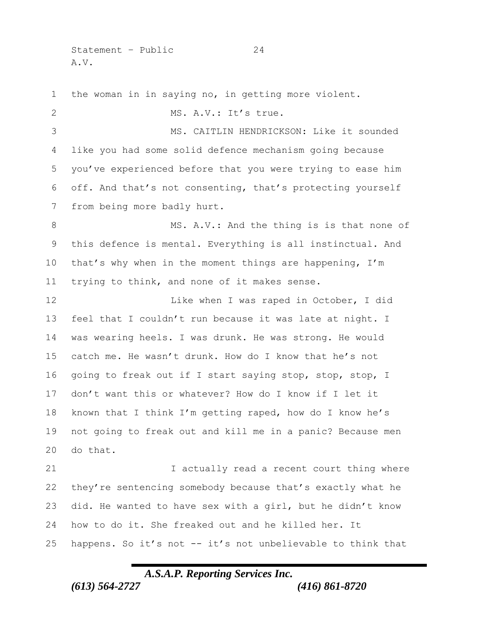Statement – Public 24 A.V.

 the woman in in saying no, in getting more violent. MS. A.V.: It's true. MS. CAITLIN HENDRICKSON: Like it sounded like you had some solid defence mechanism going because you've experienced before that you were trying to ease him off. And that's not consenting, that's protecting yourself from being more badly hurt. 8 MS. A.V.: And the thing is is that none of this defence is mental. Everything is all instinctual. And that's why when in the moment things are happening, I'm trying to think, and none of it makes sense. 12 Like when I was raped in October, I did feel that I couldn't run because it was late at night. I was wearing heels. I was drunk. He was strong. He would catch me. He wasn't drunk. How do I know that he's not going to freak out if I start saying stop, stop, stop, I don't want this or whatever? How do I know if I let it known that I think I'm getting raped, how do I know he's not going to freak out and kill me in a panic? Because men do that. 21 I actually read a recent court thing where they're sentencing somebody because that's exactly what he did. He wanted to have sex with a girl, but he didn't know how to do it. She freaked out and he killed her. It happens. So it's not -- it's not unbelievable to think that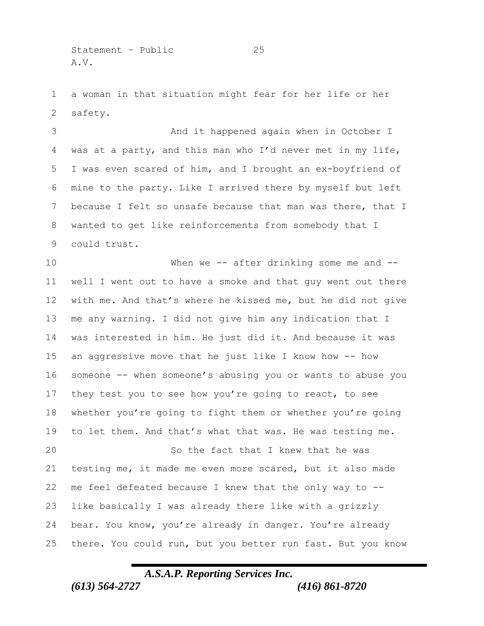Statement – Public 25 A.V.

 a woman in that situation might fear for her life or her safety.

 And it happened again when in October I was at a party, and this man who I'd never met in my life, I was even scared of him, and I brought an ex-boyfriend of mine to the party. Like I arrived there by myself but left because I felt so unsafe because that man was there, that I wanted to get like reinforcements from somebody that I could trust.

 When we -- after drinking some me and -- well I went out to have a smoke and that guy went out there with me. And that's where he kissed me, but he did not give me any warning. I did not give him any indication that I was interested in him. He just did it. And because it was an aggressive move that he just like I know how -- how someone -- when someone's abusing you or wants to abuse you 17 they test you to see how you're going to react, to see whether you're going to fight them or whether you're going to let them. And that's what that was. He was testing me. So the fact that I knew that he was testing me, it made me even more scared, but it also made me feel defeated because I knew that the only way to -- like basically I was already there like with a grizzly

 bear. You know, you're already in danger. You're already there. You could run, but you better run fast. But you know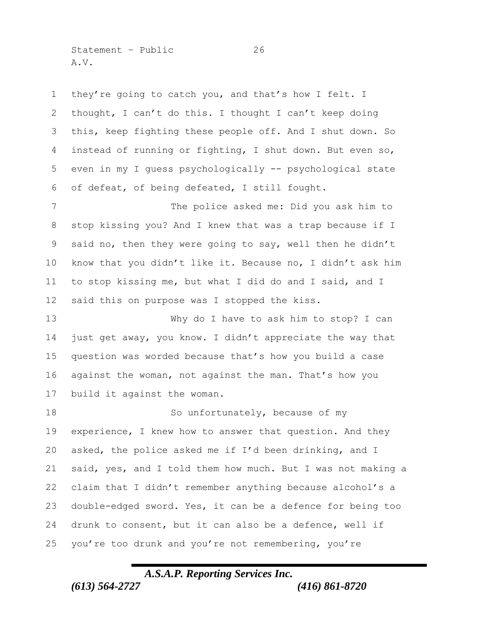Statement – Public 26 A.V.

 they're going to catch you, and that's how I felt. I thought, I can't do this. I thought I can't keep doing this, keep fighting these people off. And I shut down. So instead of running or fighting, I shut down. But even so, even in my I guess psychologically -- psychological state of defeat, of being defeated, I still fought.

 The police asked me: Did you ask him to stop kissing you? And I knew that was a trap because if I said no, then they were going to say, well then he didn't know that you didn't like it. Because no, I didn't ask him to stop kissing me, but what I did do and I said, and I said this on purpose was I stopped the kiss.

 Why do I have to ask him to stop? I can just get away, you know. I didn't appreciate the way that question was worded because that's how you build a case against the woman, not against the man. That's how you build it against the woman.

18 So unfortunately, because of my experience, I knew how to answer that question. And they asked, the police asked me if I'd been drinking, and I said, yes, and I told them how much. But I was not making a claim that I didn't remember anything because alcohol's a double-edged sword. Yes, it can be a defence for being too drunk to consent, but it can also be a defence, well if you're too drunk and you're not remembering, you're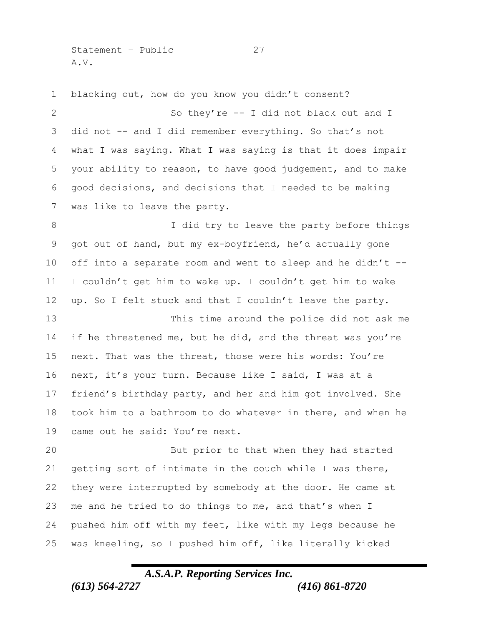Statement – Public 27 A.V.

 blacking out, how do you know you didn't consent? So they're -- I did not black out and I did not -- and I did remember everything. So that's not what I was saying. What I was saying is that it does impair your ability to reason, to have good judgement, and to make good decisions, and decisions that I needed to be making was like to leave the party. 8 I did try to leave the party before things got out of hand, but my ex-boyfriend, he'd actually gone off into a separate room and went to sleep and he didn't -- I couldn't get him to wake up. I couldn't get him to wake up. So I felt stuck and that I couldn't leave the party. This time around the police did not ask me 14 if he threatened me, but he did, and the threat was you're next. That was the threat, those were his words: You're next, it's your turn. Because like I said, I was at a friend's birthday party, and her and him got involved. She took him to a bathroom to do whatever in there, and when he came out he said: You're next. But prior to that when they had started getting sort of intimate in the couch while I was there, they were interrupted by somebody at the door. He came at me and he tried to do things to me, and that's when I pushed him off with my feet, like with my legs because he was kneeling, so I pushed him off, like literally kicked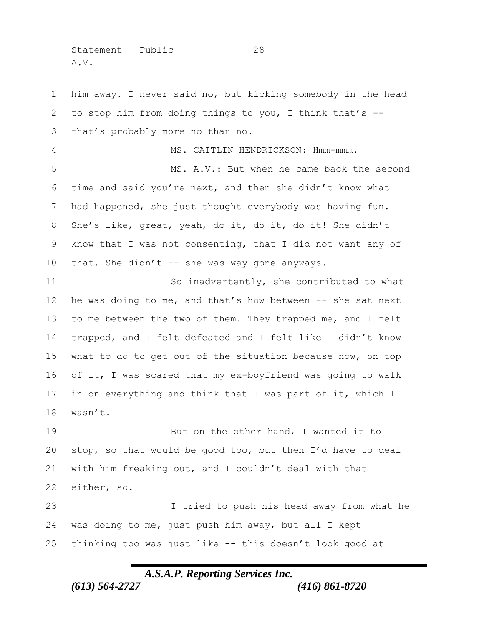Statement – Public 28 A.V.

 him away. I never said no, but kicking somebody in the head to stop him from doing things to you, I think that's -- that's probably more no than no. 4 MS. CAITLIN HENDRICKSON: Hmm-mmm. MS. A.V.: But when he came back the second time and said you're next, and then she didn't know what had happened, she just thought everybody was having fun. 8 She's like, great, yeah, do it, do it, do it! She didn't know that I was not consenting, that I did not want any of 10 that. She didn't -- she was way gone anyways. So inadvertently, she contributed to what 12 he was doing to me, and that's how between -- she sat next 13 to me between the two of them. They trapped me, and I felt trapped, and I felt defeated and I felt like I didn't know what to do to get out of the situation because now, on top of it, I was scared that my ex-boyfriend was going to walk in on everything and think that I was part of it, which I wasn't. 19 But on the other hand, I wanted it to stop, so that would be good too, but then I'd have to deal with him freaking out, and I couldn't deal with that either, so. I tried to push his head away from what he was doing to me, just push him away, but all I kept thinking too was just like -- this doesn't look good at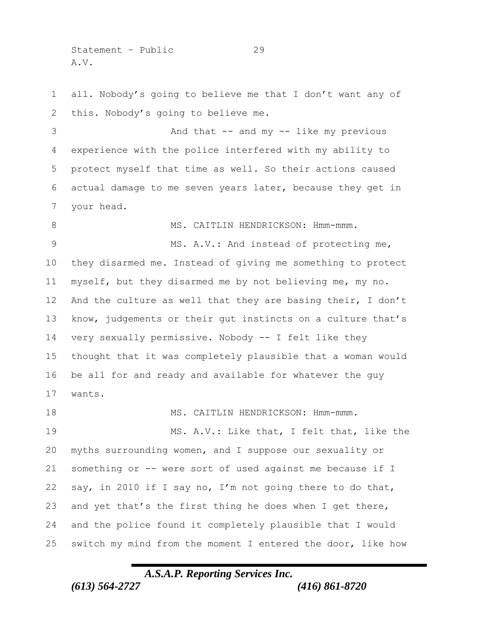Statement – Public 29 A.V.

 all. Nobody's going to believe me that I don't want any of this. Nobody's going to believe me. 3 And that -- and my -- like my previous experience with the police interfered with my ability to protect myself that time as well. So their actions caused actual damage to me seven years later, because they get in your head. 8 MS. CAITLIN HENDRICKSON: Hmm-mmm. 9 MS. A.V.: And instead of protecting me, they disarmed me. Instead of giving me something to protect myself, but they disarmed me by not believing me, my no. And the culture as well that they are basing their, I don't know, judgements or their gut instincts on a culture that's very sexually permissive. Nobody -- I felt like they thought that it was completely plausible that a woman would be all for and ready and available for whatever the guy wants. 18 MS. CAITLIN HENDRICKSON: Hmm-mmm. MS. A.V.: Like that, I felt that, like the myths surrounding women, and I suppose our sexuality or something or -- were sort of used against me because if I say, in 2010 if I say no, I'm not going there to do that, and yet that's the first thing he does when I get there, and the police found it completely plausible that I would switch my mind from the moment I entered the door, like how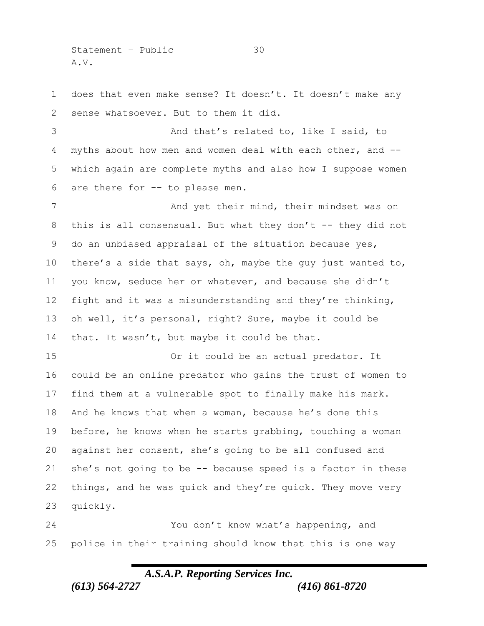Statement – Public 30 A.V.

 does that even make sense? It doesn't. It doesn't make any sense whatsoever. But to them it did. And that's related to, like I said, to myths about how men and women deal with each other, and -- which again are complete myths and also how I suppose women are there for -- to please men. And yet their mind, their mindset was on this is all consensual. But what they don't -- they did not do an unbiased appraisal of the situation because yes, there's a side that says, oh, maybe the guy just wanted to, you know, seduce her or whatever, and because she didn't fight and it was a misunderstanding and they're thinking,

 oh well, it's personal, right? Sure, maybe it could be that. It wasn't, but maybe it could be that.

 Or it could be an actual predator. It could be an online predator who gains the trust of women to find them at a vulnerable spot to finally make his mark. And he knows that when a woman, because he's done this before, he knows when he starts grabbing, touching a woman against her consent, she's going to be all confused and she's not going to be -- because speed is a factor in these things, and he was quick and they're quick. They move very quickly.

 You don't know what's happening, and police in their training should know that this is one way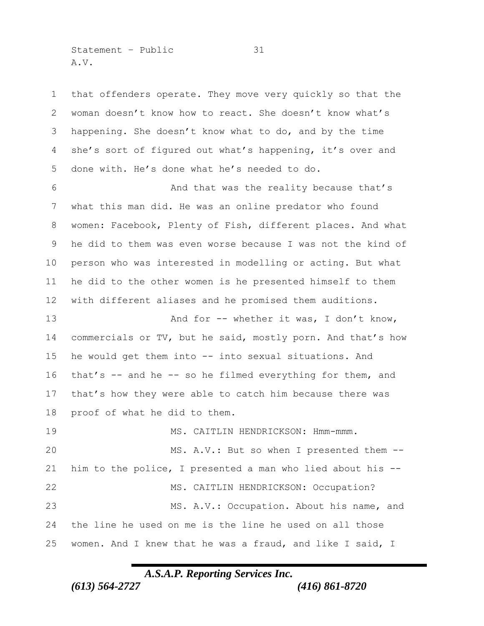Statement – Public 31 A.V.

 that offenders operate. They move very quickly so that the woman doesn't know how to react. She doesn't know what's happening. She doesn't know what to do, and by the time she's sort of figured out what's happening, it's over and done with. He's done what he's needed to do. And that was the reality because that's what this man did. He was an online predator who found women: Facebook, Plenty of Fish, different places. And what he did to them was even worse because I was not the kind of person who was interested in modelling or acting. But what he did to the other women is he presented himself to them with different aliases and he promised them auditions. 13 And for -- whether it was, I don't know, 14 commercials or TV, but he said, mostly porn. And that's how he would get them into -- into sexual situations. And that's -- and he -- so he filmed everything for them, and that's how they were able to catch him because there was proof of what he did to them. MS. CAITLIN HENDRICKSON: Hmm-mmm. 20 MS. A.V.: But so when I presented them -- him to the police, I presented a man who lied about his -- MS. CAITLIN HENDRICKSON: Occupation? MS. A.V.: Occupation. About his name, and the line he used on me is the line he used on all those women. And I knew that he was a fraud, and like I said, I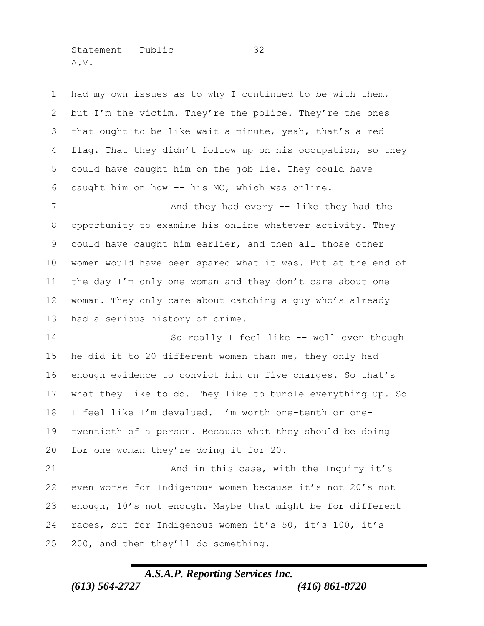Statement – Public 32 A.V.

 had my own issues as to why I continued to be with them, but I'm the victim. They're the police. They're the ones that ought to be like wait a minute, yeah, that's a red flag. That they didn't follow up on his occupation, so they could have caught him on the job lie. They could have caught him on how -- his MO, which was online.

7 And they had every -- like they had the opportunity to examine his online whatever activity. They could have caught him earlier, and then all those other women would have been spared what it was. But at the end of the day I'm only one woman and they don't care about one woman. They only care about catching a guy who's already had a serious history of crime.

 So really I feel like -- well even though he did it to 20 different women than me, they only had enough evidence to convict him on five charges. So that's what they like to do. They like to bundle everything up. So I feel like I'm devalued. I'm worth one-tenth or one- twentieth of a person. Because what they should be doing for one woman they're doing it for 20.

 And in this case, with the Inquiry it's even worse for Indigenous women because it's not 20's not enough, 10's not enough. Maybe that might be for different races, but for Indigenous women it's 50, it's 100, it's 200, and then they'll do something.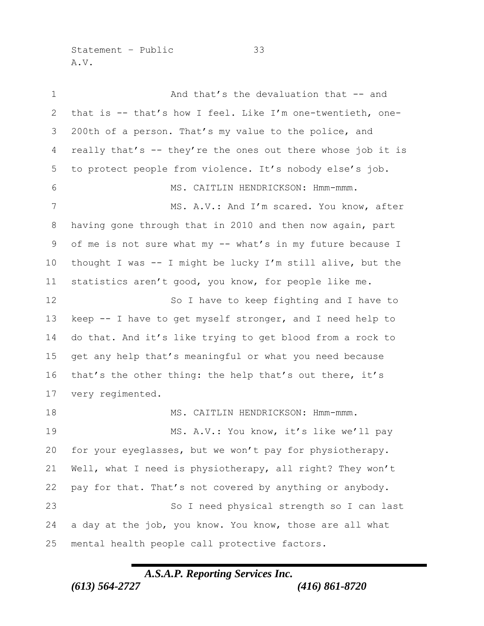Statement – Public 33 A.V.

 And that's the devaluation that -- and that is -- that's how I feel. Like I'm one-twentieth, one- 200th of a person. That's my value to the police, and really that's -- they're the ones out there whose job it is to protect people from violence. It's nobody else's job. MS. CAITLIN HENDRICKSON: Hmm-mmm. 7 MS. A.V.: And I'm scared. You know, after having gone through that in 2010 and then now again, part of me is not sure what my -- what's in my future because I thought I was -- I might be lucky I'm still alive, but the statistics aren't good, you know, for people like me. So I have to keep fighting and I have to keep -- I have to get myself stronger, and I need help to do that. And it's like trying to get blood from a rock to get any help that's meaningful or what you need because that's the other thing: the help that's out there, it's very regimented. 18 MS. CAITLIN HENDRICKSON: Hmm-mmm. 19 MS. A.V.: You know, it's like we'll pay for your eyeglasses, but we won't pay for physiotherapy. Well, what I need is physiotherapy, all right? They won't pay for that. That's not covered by anything or anybody. So I need physical strength so I can last a day at the job, you know. You know, those are all what mental health people call protective factors.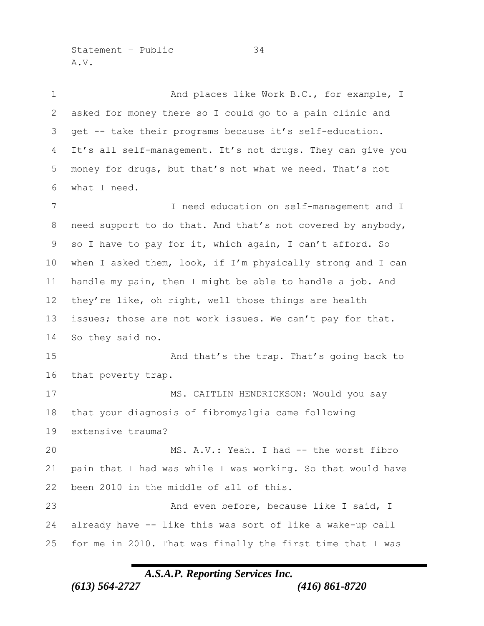Statement – Public 34 A.V.

1 And places like Work B.C., for example, I asked for money there so I could go to a pain clinic and get -- take their programs because it's self-education. It's all self-management. It's not drugs. They can give you money for drugs, but that's not what we need. That's not what I need. I need education on self-management and I need support to do that. And that's not covered by anybody, so I have to pay for it, which again, I can't afford. So when I asked them, look, if I'm physically strong and I can handle my pain, then I might be able to handle a job. And 12 they're like, oh right, well those things are health issues; those are not work issues. We can't pay for that. So they said no. 15 And that's the trap. That's going back to that poverty trap. 17 MS. CAITLIN HENDRICKSON: Would you say that your diagnosis of fibromyalgia came following extensive trauma? 20 MS. A.V.: Yeah. I had -- the worst fibro pain that I had was while I was working. So that would have been 2010 in the middle of all of this. 23 And even before, because like I said, I already have -- like this was sort of like a wake-up call for me in 2010. That was finally the first time that I was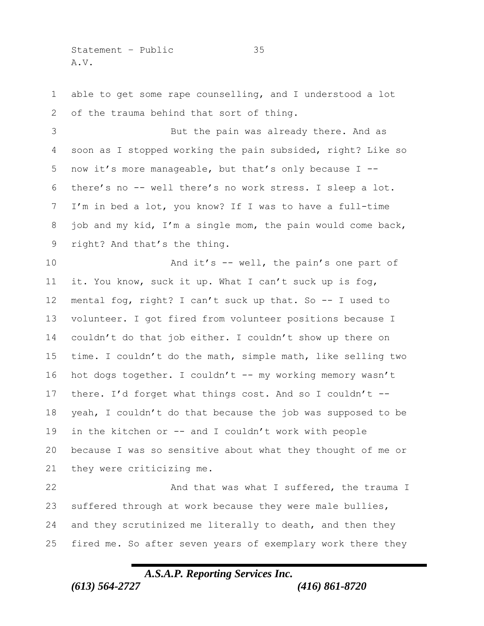Statement – Public 35 A.V.

 able to get some rape counselling, and I understood a lot 2 of the trauma behind that sort of thing.

 But the pain was already there. And as soon as I stopped working the pain subsided, right? Like so now it's more manageable, but that's only because I -- there's no -- well there's no work stress. I sleep a lot. I'm in bed a lot, you know? If I was to have a full-time job and my kid, I'm a single mom, the pain would come back, right? And that's the thing.

10 And it's -- well, the pain's one part of it. You know, suck it up. What I can't suck up is fog, mental fog, right? I can't suck up that. So -- I used to volunteer. I got fired from volunteer positions because I couldn't do that job either. I couldn't show up there on time. I couldn't do the math, simple math, like selling two 16 hot dogs together. I couldn't -- my working memory wasn't there. I'd forget what things cost. And so I couldn't -- yeah, I couldn't do that because the job was supposed to be in the kitchen or -- and I couldn't work with people because I was so sensitive about what they thought of me or they were criticizing me.

22 And that was what I suffered, the trauma I suffered through at work because they were male bullies, and they scrutinized me literally to death, and then they fired me. So after seven years of exemplary work there they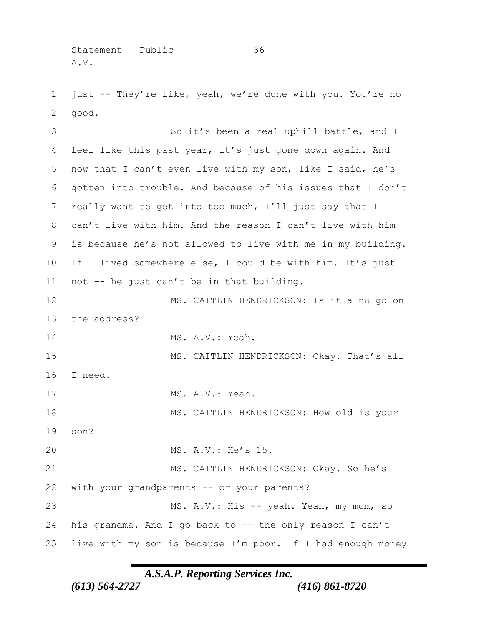Statement - Public 36 A.V.

 just -- They're like, yeah, we're done with you. You're no good.

 So it's been a real uphill battle, and I feel like this past year, it's just gone down again. And now that I can't even live with my son, like I said, he's gotten into trouble. And because of his issues that I don't really want to get into too much, I'll just say that I can't live with him. And the reason I can't live with him is because he's not allowed to live with me in my building. If I lived somewhere else, I could be with him. It's just not –- he just can't be in that building. MS. CAITLIN HENDRICKSON: Is it a no go on the address? MS. A.V.: Yeah. 15 MS. CAITLIN HENDRICKSON: Okay. That's all I need. MS. A.V.: Yeah. 18 MS. CAITLIN HENDRICKSON: How old is your son? MS. A.V.: He's 15. MS. CAITLIN HENDRICKSON: Okay. So he's with your grandparents -- or your parents? 23 MS. A.V.: His -- yeah. Yeah, my mom, so his grandma. And I go back to -- the only reason I can't live with my son is because I'm poor. If I had enough money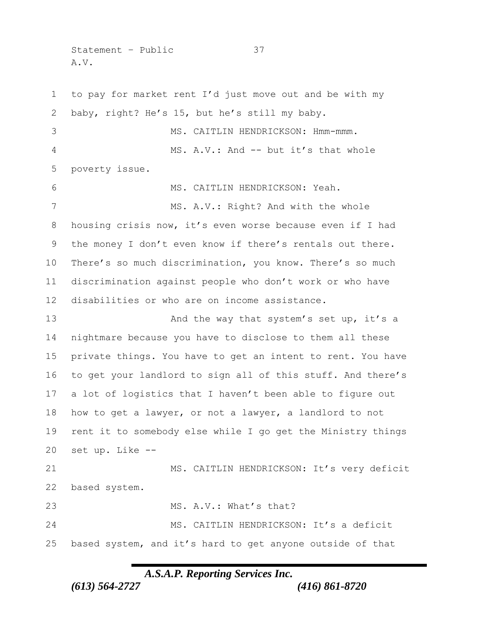Statement – Public 37 A.V.

 to pay for market rent I'd just move out and be with my baby, right? He's 15, but he's still my baby. MS. CAITLIN HENDRICKSON: Hmm-mmm. 4 MS. A.V.: And -- but it's that whole poverty issue. MS. CAITLIN HENDRICKSON: Yeah. 7 MS. A.V.: Right? And with the whole housing crisis now, it's even worse because even if I had 9 the money I don't even know if there's rentals out there. There's so much discrimination, you know. There's so much discrimination against people who don't work or who have disabilities or who are on income assistance. 13 And the way that system's set up, it's a nightmare because you have to disclose to them all these private things. You have to get an intent to rent. You have to get your landlord to sign all of this stuff. And there's a lot of logistics that I haven't been able to figure out how to get a lawyer, or not a lawyer, a landlord to not rent it to somebody else while I go get the Ministry things set up. Like -- 21 MS. CAITLIN HENDRICKSON: It's very deficit based system. 23 MS. A.V.: What's that? MS. CAITLIN HENDRICKSON: It's a deficit based system, and it's hard to get anyone outside of that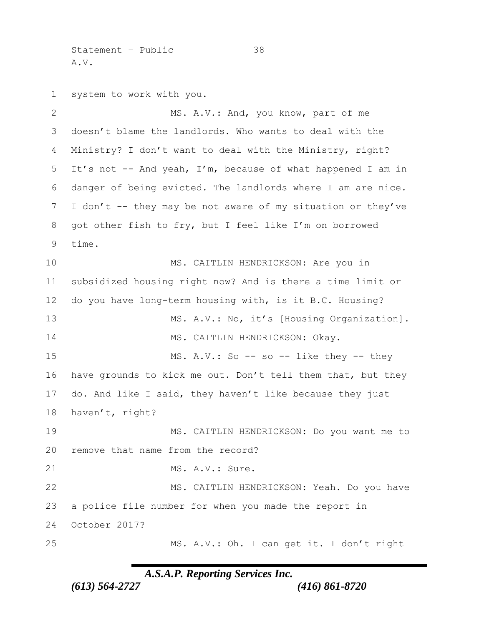Statement – Public 38 A.V.

 system to work with you. 2 MS. A.V.: And, you know, part of me doesn't blame the landlords. Who wants to deal with the Ministry? I don't want to deal with the Ministry, right? It's not -- And yeah, I'm, because of what happened I am in danger of being evicted. The landlords where I am are nice. I don't -- they may be not aware of my situation or they've got other fish to fry, but I feel like I'm on borrowed time. MS. CAITLIN HENDRICKSON: Are you in subsidized housing right now? And is there a time limit or do you have long-term housing with, is it B.C. Housing? 13 MS. A.V.: No, it's [Housing Organization]. 14 MS. CAITLIN HENDRICKSON: Okay. 15 MS. A.V.: So -- so -- like they -- they have grounds to kick me out. Don't tell them that, but they do. And like I said, they haven't like because they just haven't, right? MS. CAITLIN HENDRICKSON: Do you want me to remove that name from the record? 21 MS. A.V.: Sure. 22 MS. CAITLIN HENDRICKSON: Yeah. Do you have a police file number for when you made the report in October 2017? MS. A.V.: Oh. I can get it. I don't right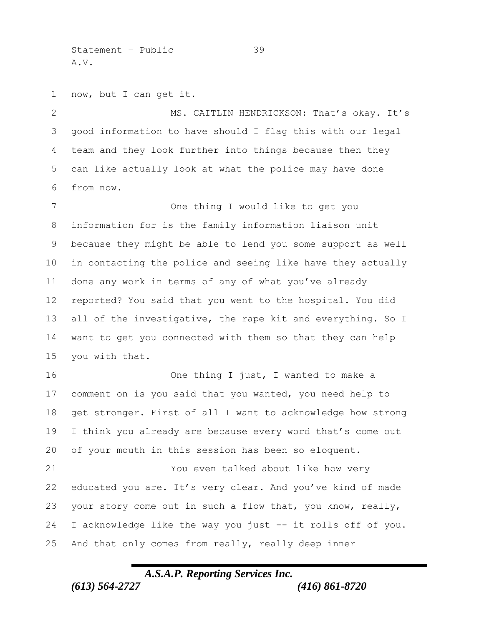Statement – Public 39 A.V.

now, but I can get it.

2 MS. CAITLIN HENDRICKSON: That's okay. It's good information to have should I flag this with our legal team and they look further into things because then they can like actually look at what the police may have done from now.

 One thing I would like to get you information for is the family information liaison unit because they might be able to lend you some support as well in contacting the police and seeing like have they actually done any work in terms of any of what you've already reported? You said that you went to the hospital. You did all of the investigative, the rape kit and everything. So I want to get you connected with them so that they can help you with that.

16 One thing I just, I wanted to make a comment on is you said that you wanted, you need help to get stronger. First of all I want to acknowledge how strong I think you already are because every word that's come out of your mouth in this session has been so eloquent.

 You even talked about like how very educated you are. It's very clear. And you've kind of made your story come out in such a flow that, you know, really, I acknowledge like the way you just -- it rolls off of you. And that only comes from really, really deep inner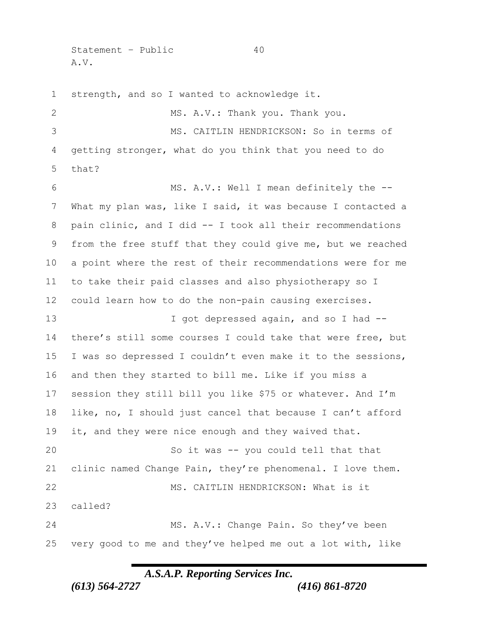Statement – Public 40 A.V.

 strength, and so I wanted to acknowledge it. 2 MS. A.V.: Thank you. Thank you. MS. CAITLIN HENDRICKSON: So in terms of getting stronger, what do you think that you need to do that? MS. A.V.: Well I mean definitely the -- What my plan was, like I said, it was because I contacted a pain clinic, and I did -- I took all their recommendations from the free stuff that they could give me, but we reached a point where the rest of their recommendations were for me to take their paid classes and also physiotherapy so I could learn how to do the non-pain causing exercises. 13 I got depressed again, and so I had -- there's still some courses I could take that were free, but I was so depressed I couldn't even make it to the sessions, and then they started to bill me. Like if you miss a session they still bill you like \$75 or whatever. And I'm like, no, I should just cancel that because I can't afford 19 it, and they were nice enough and they waived that. So it was -- you could tell that that clinic named Change Pain, they're phenomenal. I love them. MS. CAITLIN HENDRICKSON: What is it called? MS. A.V.: Change Pain. So they've been very good to me and they've helped me out a lot with, like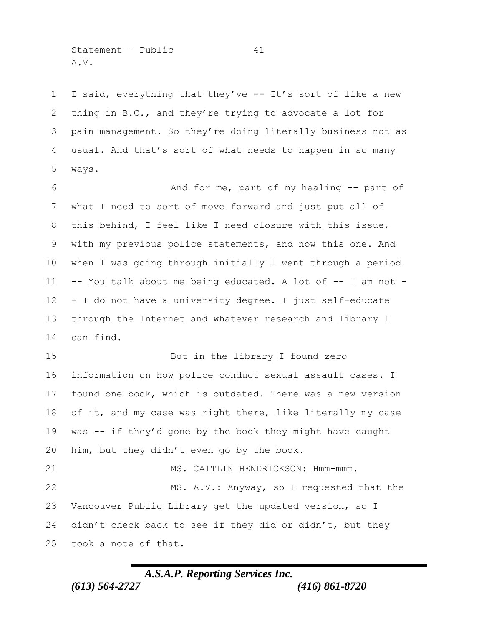Statement – Public 41 A.V.

 I said, everything that they've -- It's sort of like a new thing in B.C., and they're trying to advocate a lot for pain management. So they're doing literally business not as usual. And that's sort of what needs to happen in so many ways.

 And for me, part of my healing -- part of what I need to sort of move forward and just put all of this behind, I feel like I need closure with this issue, with my previous police statements, and now this one. And when I was going through initially I went through a period -- You talk about me being educated. A lot of -- I am not - - I do not have a university degree. I just self-educate through the Internet and whatever research and library I can find.

 But in the library I found zero information on how police conduct sexual assault cases. I found one book, which is outdated. There was a new version 18 of it, and my case was right there, like literally my case was -- if they'd gone by the book they might have caught him, but they didn't even go by the book. 21 MS. CAITLIN HENDRICKSON: Hmm-mmm.

 MS. A.V.: Anyway, so I requested that the Vancouver Public Library get the updated version, so I didn't check back to see if they did or didn't, but they took a note of that.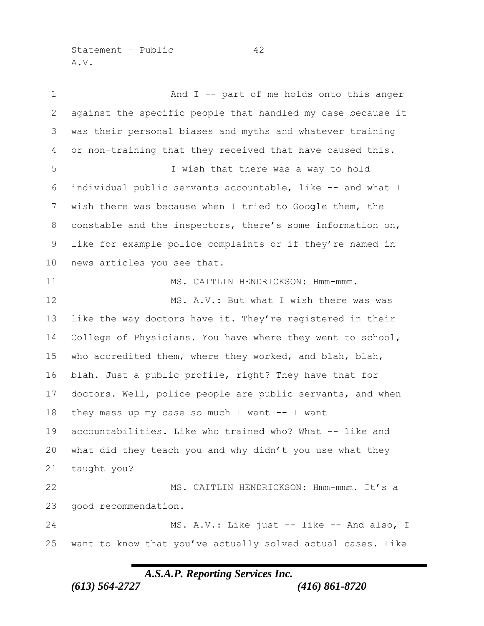Statement – Public 42 A.V.

1 And I -- part of me holds onto this anger against the specific people that handled my case because it was their personal biases and myths and whatever training or non-training that they received that have caused this. I wish that there was a way to hold individual public servants accountable, like -- and what I wish there was because when I tried to Google them, the constable and the inspectors, there's some information on, like for example police complaints or if they're named in news articles you see that. 11 MS. CAITLIN HENDRICKSON: Hmm-mmm. 12 MS. A.V.: But what I wish there was was like the way doctors have it. They're registered in their College of Physicians. You have where they went to school, who accredited them, where they worked, and blah, blah, blah. Just a public profile, right? They have that for doctors. Well, police people are public servants, and when they mess up my case so much I want -- I want accountabilities. Like who trained who? What -- like and what did they teach you and why didn't you use what they taught you? MS. CAITLIN HENDRICKSON: Hmm-mmm. It's a good recommendation. 24 MS. A.V.: Like just -- like -- And also, I want to know that you've actually solved actual cases. Like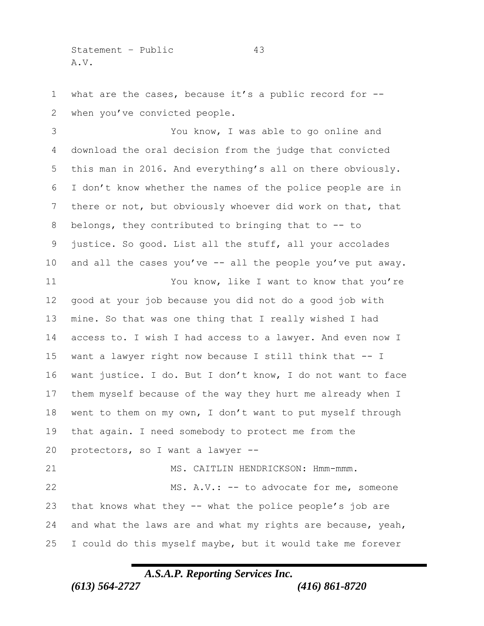Statement – Public 43 A.V.

 what are the cases, because it's a public record for -- when you've convicted people.

 You know, I was able to go online and download the oral decision from the judge that convicted this man in 2016. And everything's all on there obviously. I don't know whether the names of the police people are in there or not, but obviously whoever did work on that, that belongs, they contributed to bringing that to -- to justice. So good. List all the stuff, all your accolades and all the cases you've -- all the people you've put away. You know, like I want to know that you're good at your job because you did not do a good job with mine. So that was one thing that I really wished I had access to. I wish I had access to a lawyer. And even now I want a lawyer right now because I still think that -- I want justice. I do. But I don't know, I do not want to face them myself because of the way they hurt me already when I went to them on my own, I don't want to put myself through that again. I need somebody to protect me from the protectors, so I want a lawyer -- 21 MS. CAITLIN HENDRICKSON: Hmm-mmm. MS. A.V.: -- to advocate for me, someone that knows what they -- what the police people's job are and what the laws are and what my rights are because, yeah, I could do this myself maybe, but it would take me forever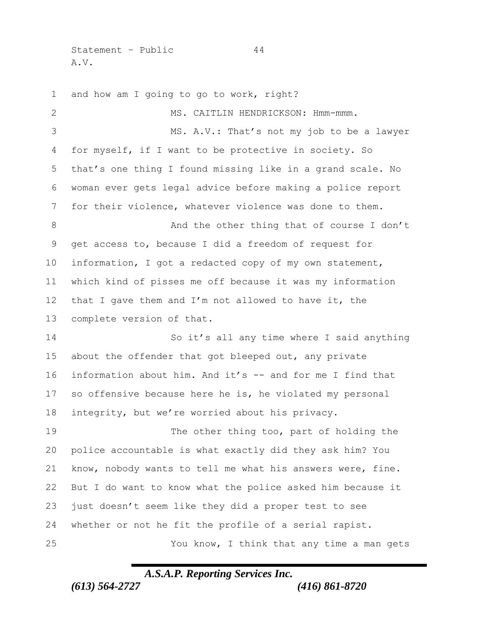Statement – Public 44 A.V.

 and how am I going to go to work, right? MS. CAITLIN HENDRICKSON: Hmm-mmm. MS. A.V.: That's not my job to be a lawyer for myself, if I want to be protective in society. So that's one thing I found missing like in a grand scale. No woman ever gets legal advice before making a police report for their violence, whatever violence was done to them. 8 And the other thing that of course I don't get access to, because I did a freedom of request for information, I got a redacted copy of my own statement, which kind of pisses me off because it was my information that I gave them and I'm not allowed to have it, the complete version of that. So it's all any time where I said anything 15 about the offender that got bleeped out, any private information about him. And it's -- and for me I find that so offensive because here he is, he violated my personal integrity, but we're worried about his privacy. The other thing too, part of holding the police accountable is what exactly did they ask him? You know, nobody wants to tell me what his answers were, fine. But I do want to know what the police asked him because it just doesn't seem like they did a proper test to see whether or not he fit the profile of a serial rapist. You know, I think that any time a man gets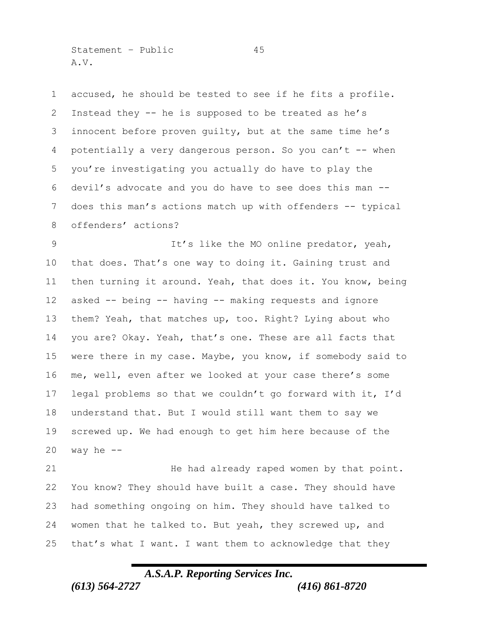Statement – Public 45 A.V.

 accused, he should be tested to see if he fits a profile. Instead they -- he is supposed to be treated as he's innocent before proven guilty, but at the same time he's potentially a very dangerous person. So you can't -- when you're investigating you actually do have to play the devil's advocate and you do have to see does this man -- does this man's actions match up with offenders -- typical offenders' actions?

 It's like the MO online predator, yeah, that does. That's one way to doing it. Gaining trust and then turning it around. Yeah, that does it. You know, being asked -- being -- having -- making requests and ignore them? Yeah, that matches up, too. Right? Lying about who you are? Okay. Yeah, that's one. These are all facts that were there in my case. Maybe, you know, if somebody said to me, well, even after we looked at your case there's some legal problems so that we couldn't go forward with it, I'd understand that. But I would still want them to say we screwed up. We had enough to get him here because of the way he  $-$ 

 He had already raped women by that point. You know? They should have built a case. They should have had something ongoing on him. They should have talked to women that he talked to. But yeah, they screwed up, and that's what I want. I want them to acknowledge that they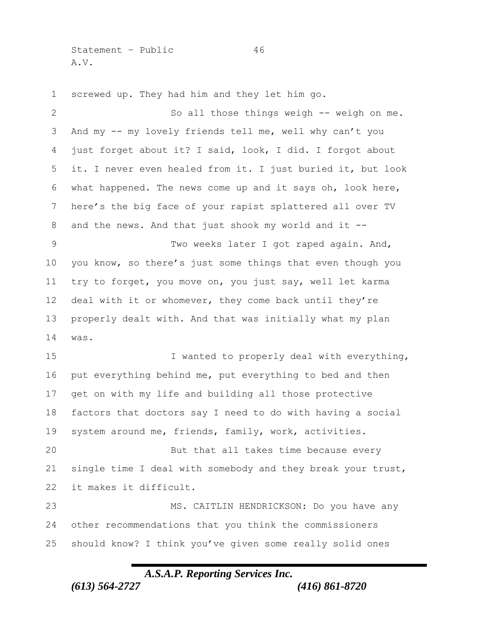Statement – Public 46 A.V.

 screwed up. They had him and they let him go. So all those things weigh -- weigh on me. And my -- my lovely friends tell me, well why can't you just forget about it? I said, look, I did. I forgot about it. I never even healed from it. I just buried it, but look what happened. The news come up and it says oh, look here, here's the big face of your rapist splattered all over TV and the news. And that just shook my world and it -- Two weeks later I got raped again. And, you know, so there's just some things that even though you try to forget, you move on, you just say, well let karma deal with it or whomever, they come back until they're properly dealt with. And that was initially what my plan was. 15 I wanted to properly deal with everything, put everything behind me, put everything to bed and then get on with my life and building all those protective factors that doctors say I need to do with having a social system around me, friends, family, work, activities. But that all takes time because every single time I deal with somebody and they break your trust, it makes it difficult. MS. CAITLIN HENDRICKSON: Do you have any

 other recommendations that you think the commissioners should know? I think you've given some really solid ones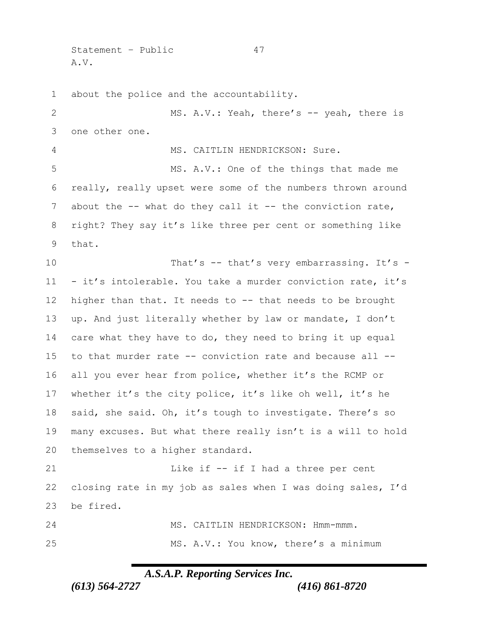Statement – Public 47 A.V.

about the police and the accountability.

2 MS. A.V.: Yeah, there's -- yeah, there is one other one. MS. CAITLIN HENDRICKSON: Sure. MS. A.V.: One of the things that made me really, really upset were some of the numbers thrown around 7 about the -- what do they call it -- the conviction rate, right? They say it's like three per cent or something like that. 10 That's -- that's very embarrassing. It's - - it's intolerable. You take a murder conviction rate, it's higher than that. It needs to -- that needs to be brought up. And just literally whether by law or mandate, I don't care what they have to do, they need to bring it up equal to that murder rate -- conviction rate and because all -- all you ever hear from police, whether it's the RCMP or whether it's the city police, it's like oh well, it's he said, she said. Oh, it's tough to investigate. There's so many excuses. But what there really isn't is a will to hold themselves to a higher standard. 21 Like if  $-$  if I had a three per cent closing rate in my job as sales when I was doing sales, I'd be fired. MS. CAITLIN HENDRICKSON: Hmm-mmm. MS. A.V.: You know, there's a minimum

*A.S.A.P. Reporting Services Inc.*

*(613) 564-2727 (416) 861-8720*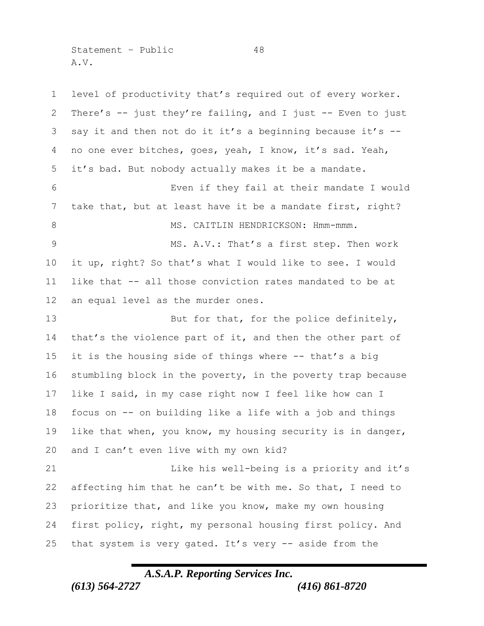Statement – Public 48 A.V.

 level of productivity that's required out of every worker. There's -- just they're failing, and I just -- Even to just say it and then not do it it's a beginning because it's -- no one ever bitches, goes, yeah, I know, it's sad. Yeah, it's bad. But nobody actually makes it be a mandate. Even if they fail at their mandate I would take that, but at least have it be a mandate first, right? 8 MS. CAITLIN HENDRICKSON: Hmm-mmm. MS. A.V.: That's a first step. Then work it up, right? So that's what I would like to see. I would like that -- all those conviction rates mandated to be at an equal level as the murder ones. 13 But for that, for the police definitely, 14 that's the violence part of it, and then the other part of it is the housing side of things where -- that's a big stumbling block in the poverty, in the poverty trap because like I said, in my case right now I feel like how can I focus on -- on building like a life with a job and things like that when, you know, my housing security is in danger, and I can't even live with my own kid? Like his well-being is a priority and it's affecting him that he can't be with me. So that, I need to prioritize that, and like you know, make my own housing first policy, right, my personal housing first policy. And that system is very gated. It's very -- aside from the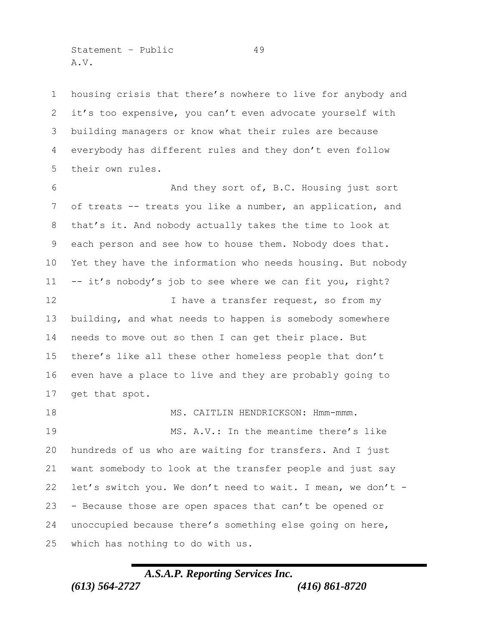Statement – Public 49 A.V.

 housing crisis that there's nowhere to live for anybody and it's too expensive, you can't even advocate yourself with building managers or know what their rules are because everybody has different rules and they don't even follow their own rules.

 And they sort of, B.C. Housing just sort of treats -- treats you like a number, an application, and that's it. And nobody actually takes the time to look at each person and see how to house them. Nobody does that. Yet they have the information who needs housing. But nobody -- it's nobody's job to see where we can fit you, right?

12 I have a transfer request, so from my building, and what needs to happen is somebody somewhere needs to move out so then I can get their place. But there's like all these other homeless people that don't even have a place to live and they are probably going to get that spot.

18 MS. CAITLIN HENDRICKSON: Hmm-mmm. MS. A.V.: In the meantime there's like hundreds of us who are waiting for transfers. And I just want somebody to look at the transfer people and just say 22 let's switch you. We don't need to wait. I mean, we don't - - Because those are open spaces that can't be opened or unoccupied because there's something else going on here, which has nothing to do with us.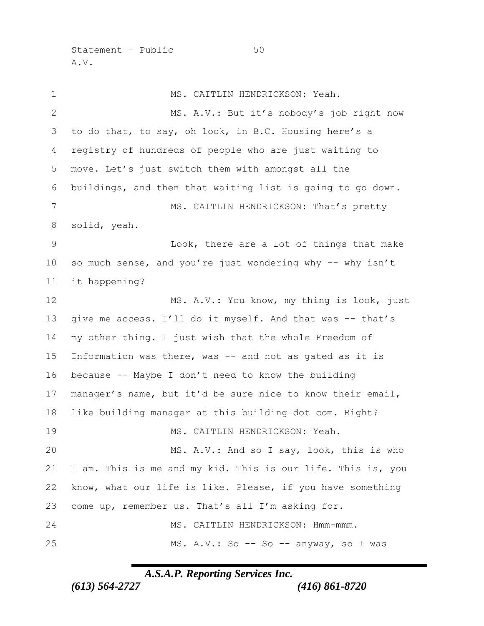Statement – Public 50 A.V.

 MS. CAITLIN HENDRICKSON: Yeah. MS. A.V.: But it's nobody's job right now to do that, to say, oh look, in B.C. Housing here's a registry of hundreds of people who are just waiting to move. Let's just switch them with amongst all the buildings, and then that waiting list is going to go down. 7 MS. CAITLIN HENDRICKSON: That's pretty solid, yeah. Look, there are a lot of things that make 10 so much sense, and you're just wondering why -- why isn't it happening? 12 MS. A.V.: You know, my thing is look, just 13 give me access. I'll do it myself. And that was -- that's my other thing. I just wish that the whole Freedom of Information was there, was -- and not as gated as it is because -- Maybe I don't need to know the building manager's name, but it'd be sure nice to know their email, like building manager at this building dot com. Right? MS. CAITLIN HENDRICKSON: Yeah. MS. A.V.: And so I say, look, this is who I am. This is me and my kid. This is our life. This is, you know, what our life is like. Please, if you have something come up, remember us. That's all I'm asking for. MS. CAITLIN HENDRICKSON: Hmm-mmm. 25 MS. A.V.: So -- So -- anyway, so I was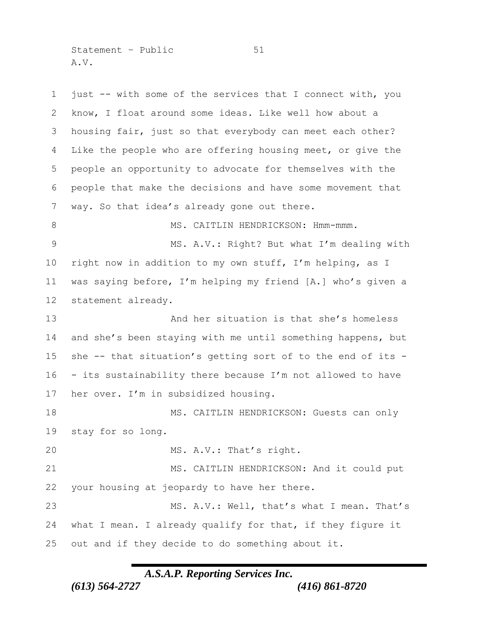Statement – Public 51 A.V.

 just -- with some of the services that I connect with, you know, I float around some ideas. Like well how about a housing fair, just so that everybody can meet each other? Like the people who are offering housing meet, or give the people an opportunity to advocate for themselves with the people that make the decisions and have some movement that way. So that idea's already gone out there. 8 MS. CAITLIN HENDRICKSON: Hmm-mmm. MS. A.V.: Right? But what I'm dealing with right now in addition to my own stuff, I'm helping, as I was saying before, I'm helping my friend [A.] who's given a statement already. 13 And her situation is that she's homeless and she's been staying with me until something happens, but she -- that situation's getting sort of to the end of its - - its sustainability there because I'm not allowed to have her over. I'm in subsidized housing. 18 MS. CAITLIN HENDRICKSON: Guests can only stay for so long. 20 MS. A.V.: That's right. MS. CAITLIN HENDRICKSON: And it could put your housing at jeopardy to have her there. MS. A.V.: Well, that's what I mean. That's what I mean. I already qualify for that, if they figure it out and if they decide to do something about it.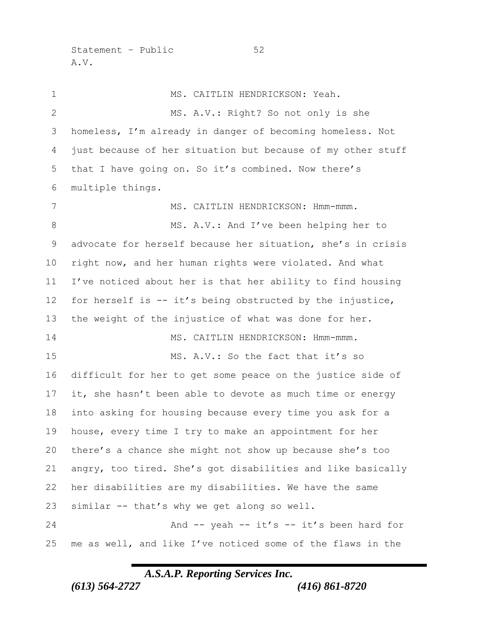Statement – Public 52 A.V.

 MS. CAITLIN HENDRICKSON: Yeah. 2 MS. A.V.: Right? So not only is she homeless, I'm already in danger of becoming homeless. Not just because of her situation but because of my other stuff that I have going on. So it's combined. Now there's multiple things. 7 MS. CAITLIN HENDRICKSON: Hmm-mmm. 8 MS. A.V.: And I've been helping her to advocate for herself because her situation, she's in crisis right now, and her human rights were violated. And what I've noticed about her is that her ability to find housing for herself is -- it's being obstructed by the injustice, the weight of the injustice of what was done for her. 14 MS. CAITLIN HENDRICKSON: Hmm-mmm. MS. A.V.: So the fact that it's so difficult for her to get some peace on the justice side of it, she hasn't been able to devote as much time or energy into asking for housing because every time you ask for a house, every time I try to make an appointment for her there's a chance she might not show up because she's too angry, too tired. She's got disabilities and like basically her disabilities are my disabilities. We have the same similar -- that's why we get along so well. 24 And -- yeah -- it's -- it's been hard for me as well, and like I've noticed some of the flaws in the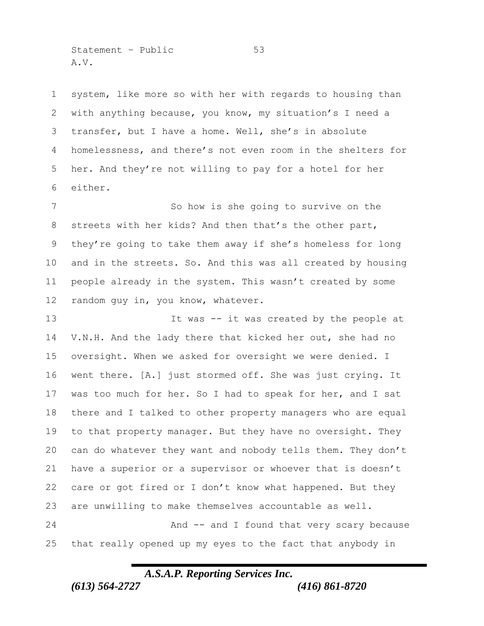Statement – Public 53 A.V.

 system, like more so with her with regards to housing than with anything because, you know, my situation's I need a transfer, but I have a home. Well, she's in absolute homelessness, and there's not even room in the shelters for her. And they're not willing to pay for a hotel for her either.

 So how is she going to survive on the streets with her kids? And then that's the other part, they're going to take them away if she's homeless for long and in the streets. So. And this was all created by housing people already in the system. This wasn't created by some 12 random guy in, you know, whatever.

13 13 It was -- it was created by the people at V.N.H. And the lady there that kicked her out, she had no oversight. When we asked for oversight we were denied. I went there. [A.] just stormed off. She was just crying. It was too much for her. So I had to speak for her, and I sat there and I talked to other property managers who are equal to that property manager. But they have no oversight. They can do whatever they want and nobody tells them. They don't have a superior or a supervisor or whoever that is doesn't care or got fired or I don't know what happened. But they are unwilling to make themselves accountable as well. 24 And -- and I found that very scary because that really opened up my eyes to the fact that anybody in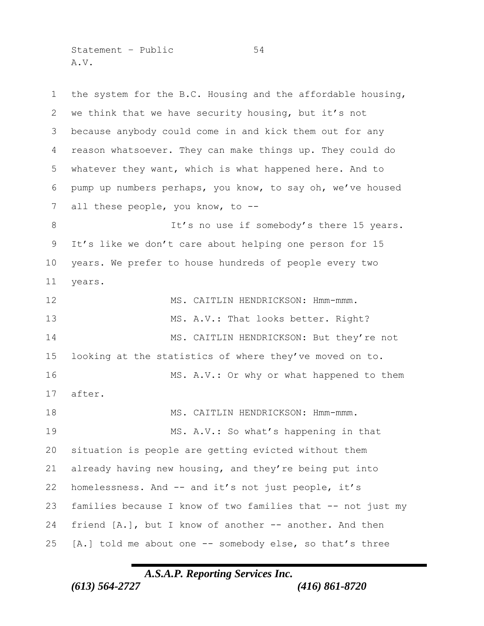Statement – Public 54 A.V.

 the system for the B.C. Housing and the affordable housing, we think that we have security housing, but it's not because anybody could come in and kick them out for any reason whatsoever. They can make things up. They could do whatever they want, which is what happened here. And to pump up numbers perhaps, you know, to say oh, we've housed 7 all these people, you know, to --8 It's no use if somebody's there 15 years. It's like we don't care about helping one person for 15 years. We prefer to house hundreds of people every two years. 12 MS. CAITLIN HENDRICKSON: Hmm-mmm. 13 MS. A.V.: That looks better. Right? 14 MS. CAITLIN HENDRICKSON: But they're not looking at the statistics of where they've moved on to. 16 MS. A.V.: Or why or what happened to them after. 18 MS. CAITLIN HENDRICKSON: Hmm-mmm. MS. A.V.: So what's happening in that situation is people are getting evicted without them already having new housing, and they're being put into homelessness. And -- and it's not just people, it's families because I know of two families that -- not just my friend [A.], but I know of another -- another. And then [A.] told me about one -- somebody else, so that's three

## *A.S.A.P. Reporting Services Inc.*

*(613) 564-2727 (416) 861-8720*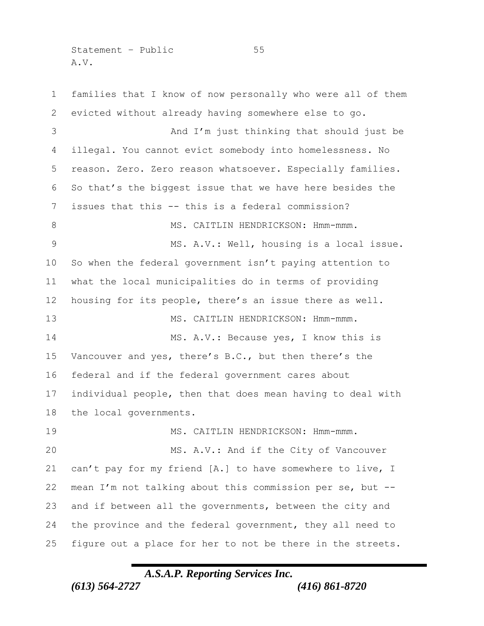Statement – Public 55 A.V.

 families that I know of now personally who were all of them evicted without already having somewhere else to go. And I'm just thinking that should just be illegal. You cannot evict somebody into homelessness. No reason. Zero. Zero reason whatsoever. Especially families. So that's the biggest issue that we have here besides the issues that this -- this is a federal commission? 8 MS. CAITLIN HENDRICKSON: Hmm-mmm. 9 MS. A.V.: Well, housing is a local issue. So when the federal government isn't paying attention to what the local municipalities do in terms of providing housing for its people, there's an issue there as well. 13 MS. CAITLIN HENDRICKSON: Hmm-mmm. 14 MS. A.V.: Because yes, I know this is Vancouver and yes, there's B.C., but then there's the federal and if the federal government cares about individual people, then that does mean having to deal with the local governments. MS. CAITLIN HENDRICKSON: Hmm-mmm. MS. A.V.: And if the City of Vancouver can't pay for my friend [A.] to have somewhere to live, I mean I'm not talking about this commission per se, but -- and if between all the governments, between the city and the province and the federal government, they all need to figure out a place for her to not be there in the streets.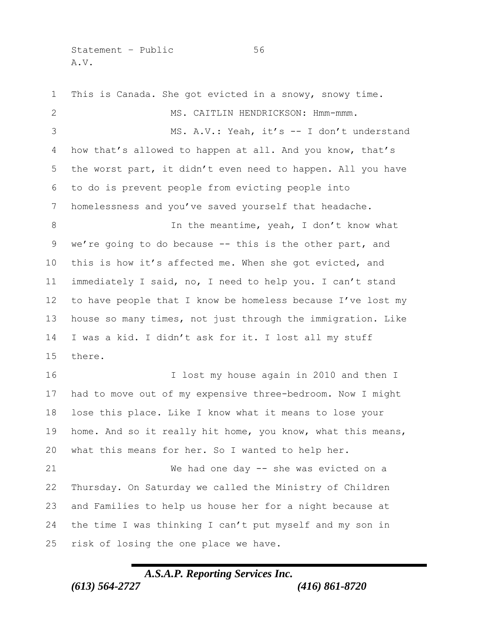Statement – Public 56 A.V.

 This is Canada. She got evicted in a snowy, snowy time. MS. CAITLIN HENDRICKSON: Hmm-mmm. MS. A.V.: Yeah, it's -- I don't understand how that's allowed to happen at all. And you know, that's the worst part, it didn't even need to happen. All you have to do is prevent people from evicting people into homelessness and you've saved yourself that headache. 8 In the meantime, yeah, I don't know what we're going to do because -- this is the other part, and this is how it's affected me. When she got evicted, and immediately I said, no, I need to help you. I can't stand to have people that I know be homeless because I've lost my house so many times, not just through the immigration. Like I was a kid. I didn't ask for it. I lost all my stuff there. I lost my house again in 2010 and then I had to move out of my expensive three-bedroom. Now I might lose this place. Like I know what it means to lose your home. And so it really hit home, you know, what this means, what this means for her. So I wanted to help her. We had one day -- she was evicted on a Thursday. On Saturday we called the Ministry of Children and Families to help us house her for a night because at the time I was thinking I can't put myself and my son in risk of losing the one place we have.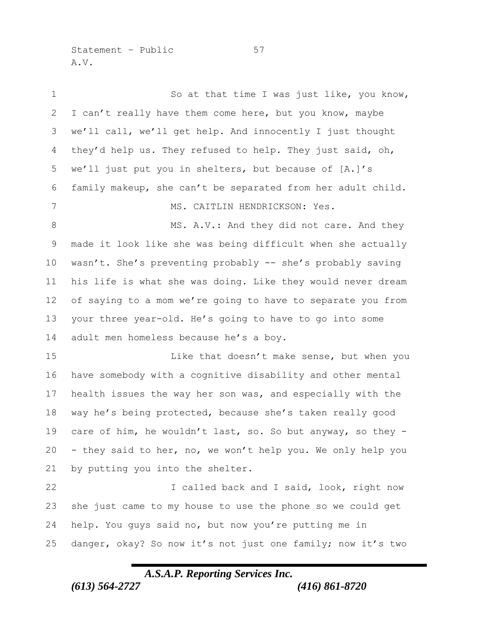Statement – Public 57 A.V.

| $\mathbf 1$  | So at that time I was just like, you know,                  |
|--------------|-------------------------------------------------------------|
| $\mathbf{2}$ | I can't really have them come here, but you know, maybe     |
| 3            | we'll call, we'll get help. And innocently I just thought   |
| 4            | they'd help us. They refused to help. They just said, oh,   |
| 5            | we'll just put you in shelters, but because of [A.]'s       |
| 6            | family makeup, she can't be separated from her adult child. |
| 7            | MS. CAITLIN HENDRICKSON: Yes.                               |
| $\,8\,$      | MS. A.V.: And they did not care. And they                   |
| 9            | made it look like she was being difficult when she actually |
| 10           | wasn't. She's preventing probably -- she's probably saving  |
| 11           | his life is what she was doing. Like they would never dream |
| 12           | of saying to a mom we're going to have to separate you from |
| 13           | your three year-old. He's going to have to go into some     |
| 14           | adult men homeless because he's a boy.                      |
| 15           | Like that doesn't make sense, but when you                  |
| 16           | have somebody with a cognitive disability and other mental  |
| 17           | health issues the way her son was, and especially with the  |
| 18           | way he's being protected, because she's taken really good   |
| 19           | care of him, he wouldn't last, so. So but anyway, so they - |
| 20           | - they said to her, no, we won't help you. We only help you |
| 21           | by putting you into the shelter.                            |
| 22           | I called back and I said, look, right now                   |
| 23           | she just came to my house to use the phone so we could get  |
| 24           | help. You guys said no, but now you're putting me in        |
| 25           | danger, okay? So now it's not just one family; now it's two |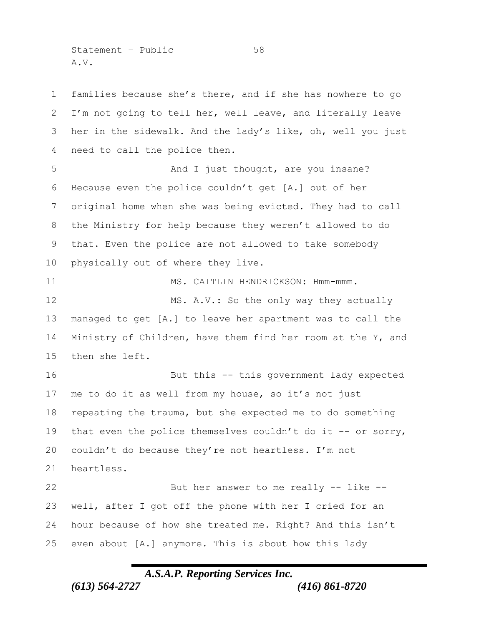Statement – Public 58 A.V.

 families because she's there, and if she has nowhere to go I'm not going to tell her, well leave, and literally leave her in the sidewalk. And the lady's like, oh, well you just need to call the police then. 5 And I just thought, are you insane? Because even the police couldn't get [A.] out of her original home when she was being evicted. They had to call the Ministry for help because they weren't allowed to do that. Even the police are not allowed to take somebody physically out of where they live. 11 MS. CAITLIN HENDRICKSON: Hmm-mmm. 12 MS. A.V.: So the only way they actually managed to get [A.] to leave her apartment was to call the Ministry of Children, have them find her room at the Y, and then she left. But this -- this government lady expected me to do it as well from my house, so it's not just repeating the trauma, but she expected me to do something 19 that even the police themselves couldn't do it -- or sorry, couldn't do because they're not heartless. I'm not heartless. But her answer to me really -- like -- well, after I got off the phone with her I cried for an hour because of how she treated me. Right? And this isn't even about [A.] anymore. This is about how this lady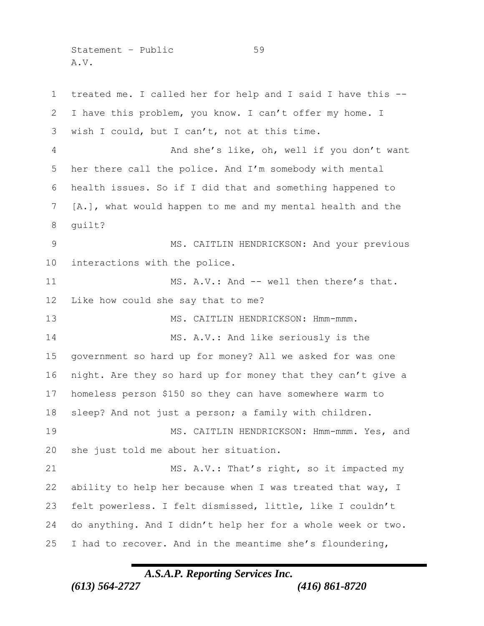Statement – Public 59 A.V.

 treated me. I called her for help and I said I have this -- I have this problem, you know. I can't offer my home. I wish I could, but I can't, not at this time. And she's like, oh, well if you don't want her there call the police. And I'm somebody with mental health issues. So if I did that and something happened to [A.], what would happen to me and my mental health and the guilt? 9 MS. CAITLIN HENDRICKSON: And your previous interactions with the police. 11 MS. A.V.: And -- well then there's that. Like how could she say that to me? 13 MS. CAITLIN HENDRICKSON: Hmm-mmm. 14 MS. A.V.: And like seriously is the government so hard up for money? All we asked for was one night. Are they so hard up for money that they can't give a homeless person \$150 so they can have somewhere warm to sleep? And not just a person; a family with children. MS. CAITLIN HENDRICKSON: Hmm-mmm. Yes, and she just told me about her situation. MS. A.V.: That's right, so it impacted my ability to help her because when I was treated that way, I felt powerless. I felt dismissed, little, like I couldn't do anything. And I didn't help her for a whole week or two. I had to recover. And in the meantime she's floundering,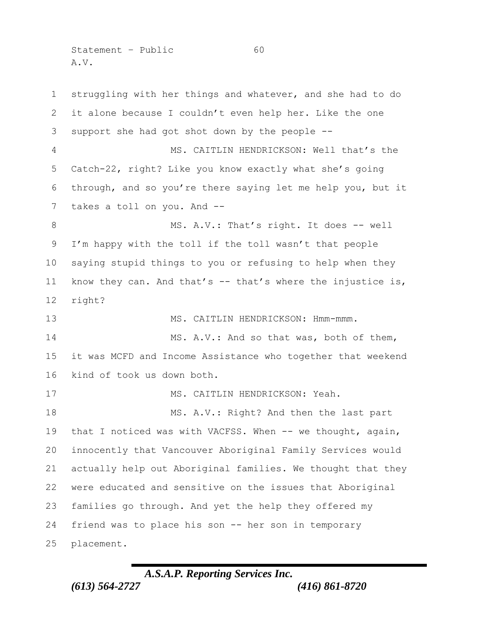Statement – Public 60 A.V.

 struggling with her things and whatever, and she had to do it alone because I couldn't even help her. Like the one support she had got shot down by the people -- MS. CAITLIN HENDRICKSON: Well that's the Catch-22, right? Like you know exactly what she's going through, and so you're there saying let me help you, but it takes a toll on you. And -- 8 MS. A.V.: That's right. It does -- well I'm happy with the toll if the toll wasn't that people saying stupid things to you or refusing to help when they know they can. And that's -- that's where the injustice is, right? 13 MS. CAITLIN HENDRICKSON: Hmm-mmm. 14 MS. A.V.: And so that was, both of them, it was MCFD and Income Assistance who together that weekend kind of took us down both. 17 MS. CAITLIN HENDRICKSON: Yeah. 18 MS. A.V.: Right? And then the last part 19 that I noticed was with VACFSS. When -- we thought, again, innocently that Vancouver Aboriginal Family Services would actually help out Aboriginal families. We thought that they were educated and sensitive on the issues that Aboriginal families go through. And yet the help they offered my friend was to place his son -- her son in temporary placement.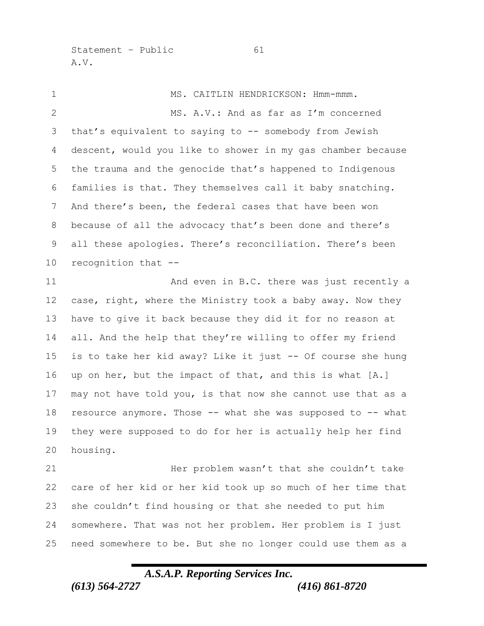Statement – Public 61 A.V.

1 MS. CAITLIN HENDRICKSON: Hmm-mmm. MS. A.V.: And as far as I'm concerned that's equivalent to saying to -- somebody from Jewish descent, would you like to shower in my gas chamber because the trauma and the genocide that's happened to Indigenous families is that. They themselves call it baby snatching. And there's been, the federal cases that have been won because of all the advocacy that's been done and there's all these apologies. There's reconciliation. There's been recognition that -- 11 And even in B.C. there was just recently a case, right, where the Ministry took a baby away. Now they have to give it back because they did it for no reason at all. And the help that they're willing to offer my friend is to take her kid away? Like it just -- Of course she hung up on her, but the impact of that, and this is what [A.] may not have told you, is that now she cannot use that as a resource anymore. Those -- what she was supposed to -- what they were supposed to do for her is actually help her find housing. Her problem wasn't that she couldn't take care of her kid or her kid took up so much of her time that she couldn't find housing or that she needed to put him somewhere. That was not her problem. Her problem is I just

*A.S.A.P. Reporting Services Inc.*

need somewhere to be. But she no longer could use them as a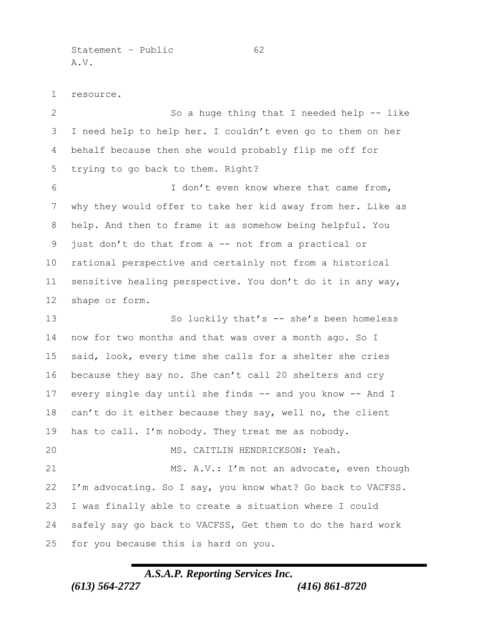Statement – Public 62 A.V.

resource.

2 So a huge thing that I needed help -- like I need help to help her. I couldn't even go to them on her behalf because then she would probably flip me off for trying to go back to them. Right? I don't even know where that came from, why they would offer to take her kid away from her. Like as help. And then to frame it as somehow being helpful. You just don't do that from a -- not from a practical or rational perspective and certainly not from a historical sensitive healing perspective. You don't do it in any way, shape or form. 13 So luckily that's -- she's been homeless now for two months and that was over a month ago. So I said, look, every time she calls for a shelter she cries because they say no. She can't call 20 shelters and cry every single day until she finds -- and you know -- And I 18 can't do it either because they say, well no, the client has to call. I'm nobody. They treat me as nobody. MS. CAITLIN HENDRICKSON: Yeah. 21 MS. A.V.: I'm not an advocate, even though I'm advocating. So I say, you know what? Go back to VACFSS. I was finally able to create a situation where I could safely say go back to VACFSS, Get them to do the hard work for you because this is hard on you.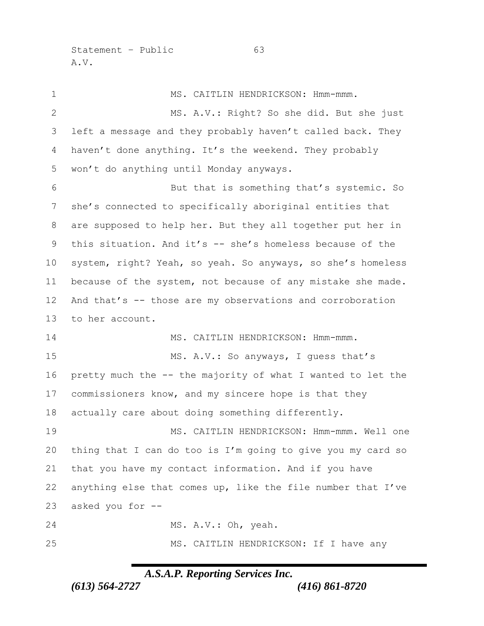Statement – Public 63 A.V.

1 MS. CAITLIN HENDRICKSON: Hmm-mmm. MS. A.V.: Right? So she did. But she just left a message and they probably haven't called back. They 4 haven't done anything. It's the weekend. They probably won't do anything until Monday anyways. But that is something that's systemic. So she's connected to specifically aboriginal entities that are supposed to help her. But they all together put her in this situation. And it's -- she's homeless because of the system, right? Yeah, so yeah. So anyways, so she's homeless because of the system, not because of any mistake she made. And that's -- those are my observations and corroboration to her account. 14 MS. CAITLIN HENDRICKSON: Hmm-mmm. 15 MS. A.V.: So anyways, I quess that's pretty much the -- the majority of what I wanted to let the commissioners know, and my sincere hope is that they actually care about doing something differently. 19 MS. CAITLIN HENDRICKSON: Hmm-mmm. Well one thing that I can do too is I'm going to give you my card so that you have my contact information. And if you have anything else that comes up, like the file number that I've asked you for -- 24 MS. A.V.: Oh, yeah. MS. CAITLIN HENDRICKSON: If I have any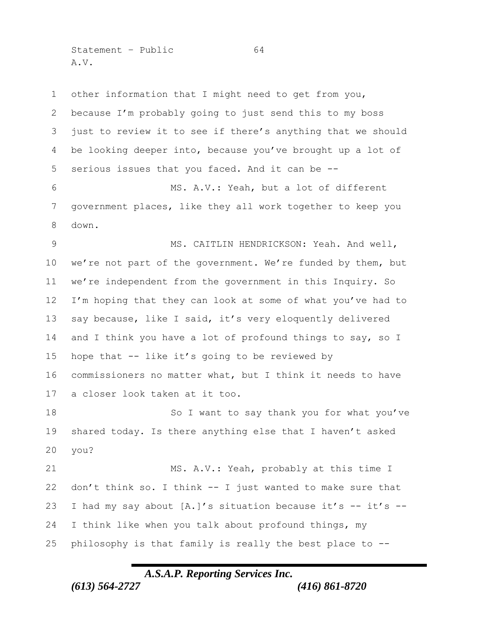Statement – Public 64 A.V.

 other information that I might need to get from you, because I'm probably going to just send this to my boss just to review it to see if there's anything that we should be looking deeper into, because you've brought up a lot of serious issues that you faced. And it can be -- MS. A.V.: Yeah, but a lot of different government places, like they all work together to keep you down. MS. CAITLIN HENDRICKSON: Yeah. And well, we're not part of the government. We're funded by them, but we're independent from the government in this Inquiry. So I'm hoping that they can look at some of what you've had to say because, like I said, it's very eloquently delivered 14 and I think you have a lot of profound things to say, so I hope that -- like it's going to be reviewed by commissioners no matter what, but I think it needs to have a closer look taken at it too. 18 So I want to say thank you for what you've shared today. Is there anything else that I haven't asked you? 21 MS. A.V.: Yeah, probably at this time I don't think so. I think -- I just wanted to make sure that I had my say about [A.]'s situation because it's -- it's -- I think like when you talk about profound things, my philosophy is that family is really the best place to --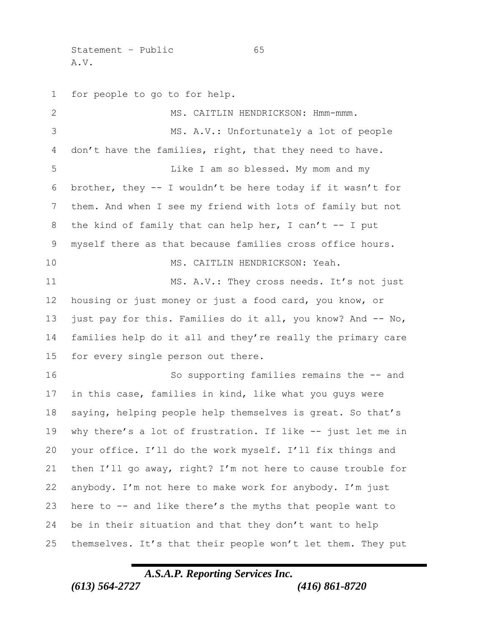Statement – Public 65 A.V.

 for people to go to for help. MS. CAITLIN HENDRICKSON: Hmm-mmm. MS. A.V.: Unfortunately a lot of people don't have the families, right, that they need to have. Like I am so blessed. My mom and my brother, they -- I wouldn't be here today if it wasn't for them. And when I see my friend with lots of family but not 8 the kind of family that can help her, I can't -- I put myself there as that because families cross office hours. MS. CAITLIN HENDRICKSON: Yeah. MS. A.V.: They cross needs. It's not just housing or just money or just a food card, you know, or just pay for this. Families do it all, you know? And -- No, families help do it all and they're really the primary care for every single person out there. So supporting families remains the -- and in this case, families in kind, like what you guys were saying, helping people help themselves is great. So that's why there's a lot of frustration. If like -- just let me in your office. I'll do the work myself. I'll fix things and then I'll go away, right? I'm not here to cause trouble for anybody. I'm not here to make work for anybody. I'm just here to -- and like there's the myths that people want to be in their situation and that they don't want to help themselves. It's that their people won't let them. They put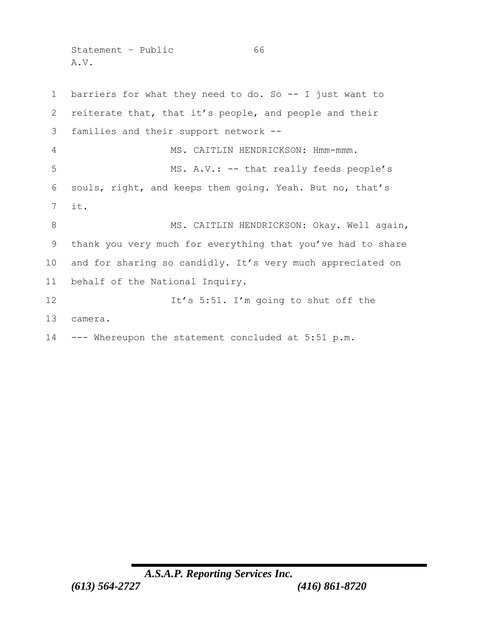Statement - Public 66 A.V.

 barriers for what they need to do. So -- I just want to reiterate that, that it's people, and people and their families and their support network -- MS. CAITLIN HENDRICKSON: Hmm-mmm. 5 MS. A.V.: -- that really feeds people's souls, right, and keeps them going. Yeah. But no, that's it. 8 MS. CAITLIN HENDRICKSON: Okay. Well again, thank you very much for everything that you've had to share and for sharing so candidly. It's very much appreciated on behalf of the National Inquiry. 12 It's 5:51. I'm going to shut off the camera. --- Whereupon the statement concluded at 5:51 p.m.